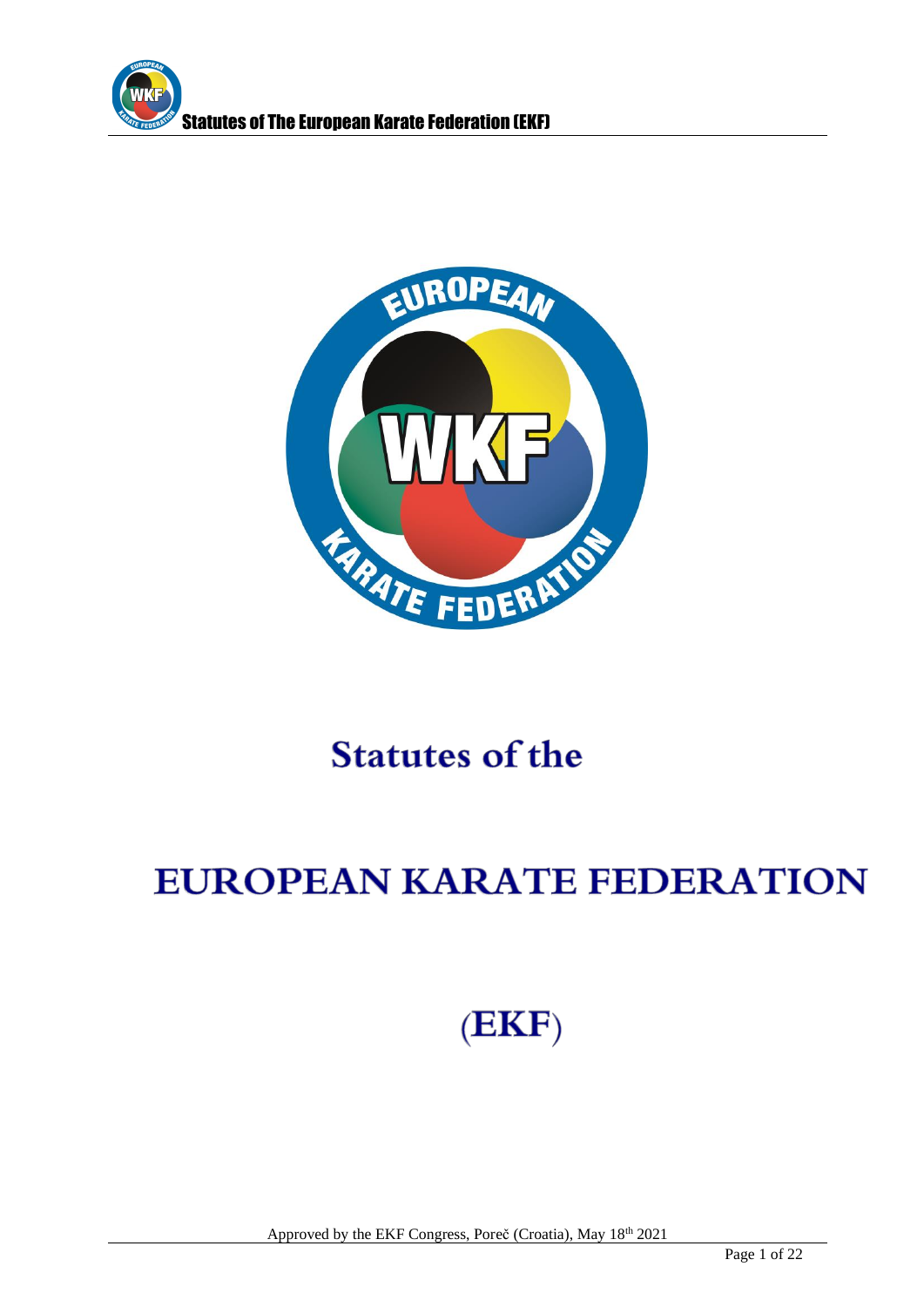



# **Statutes of the**

# **EUROPEAN KARATE FEDERATION**

# $(EKF)$

Approved by the EKF Congress, Poreč (Croatia), May 18<sup>th</sup> 2021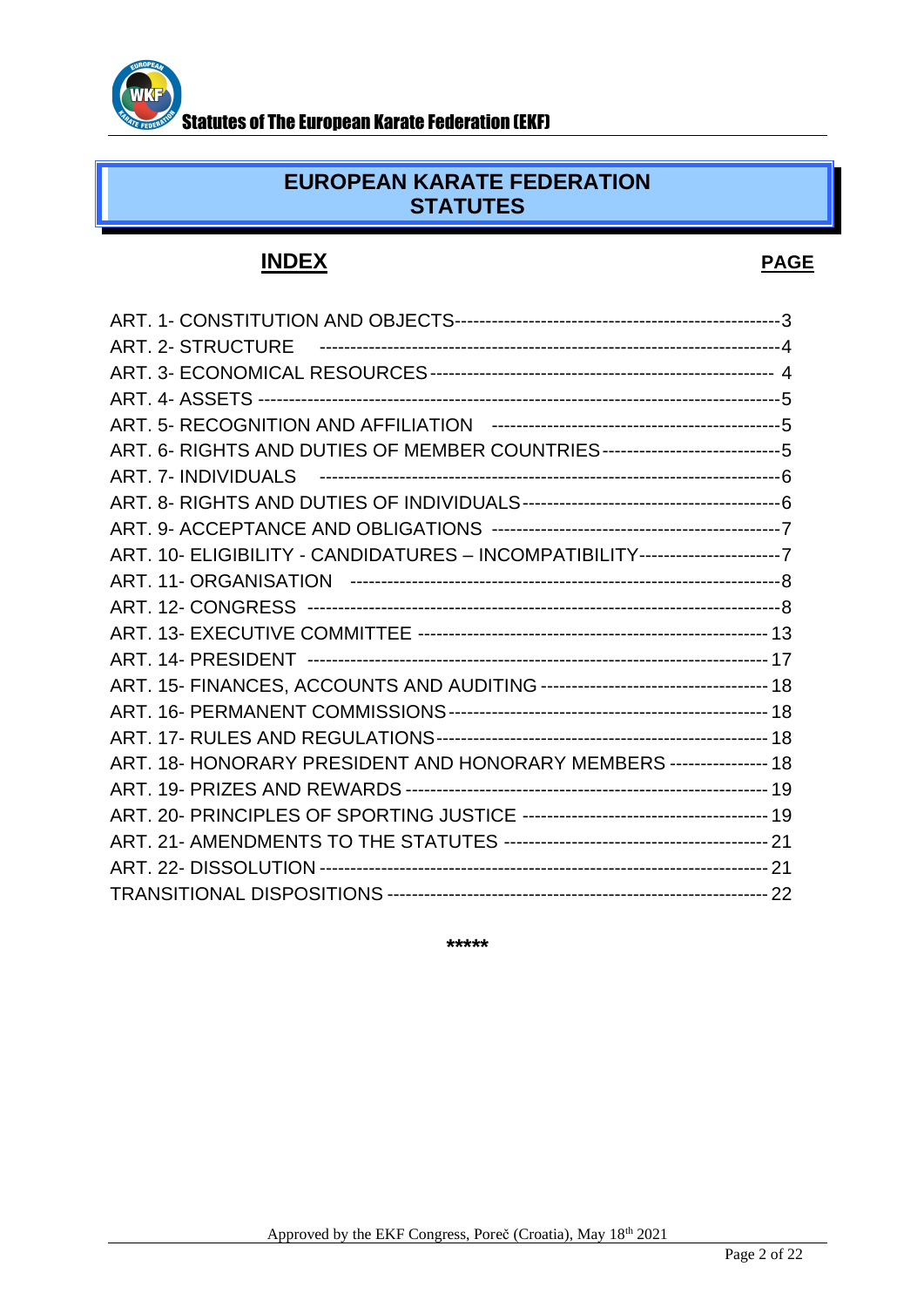

### **EUROPEAN KARATE FEDERATION STATUTES**

## **INDEX PAGE**

| ART. 6- RIGHTS AND DUTIES OF MEMBER COUNTRIES------------------------------5   |  |
|--------------------------------------------------------------------------------|--|
|                                                                                |  |
|                                                                                |  |
|                                                                                |  |
| ART. 10- ELIGIBILITY - CANDIDATURES - INCOMPATIBILITY------------------------7 |  |
|                                                                                |  |
|                                                                                |  |
|                                                                                |  |
|                                                                                |  |
|                                                                                |  |
|                                                                                |  |
|                                                                                |  |
| ART, 18- HONORARY PRESIDENT AND HONORARY MEMBERS ---------------- 18           |  |
|                                                                                |  |
|                                                                                |  |
|                                                                                |  |
|                                                                                |  |
|                                                                                |  |

**\*\*\*\*\***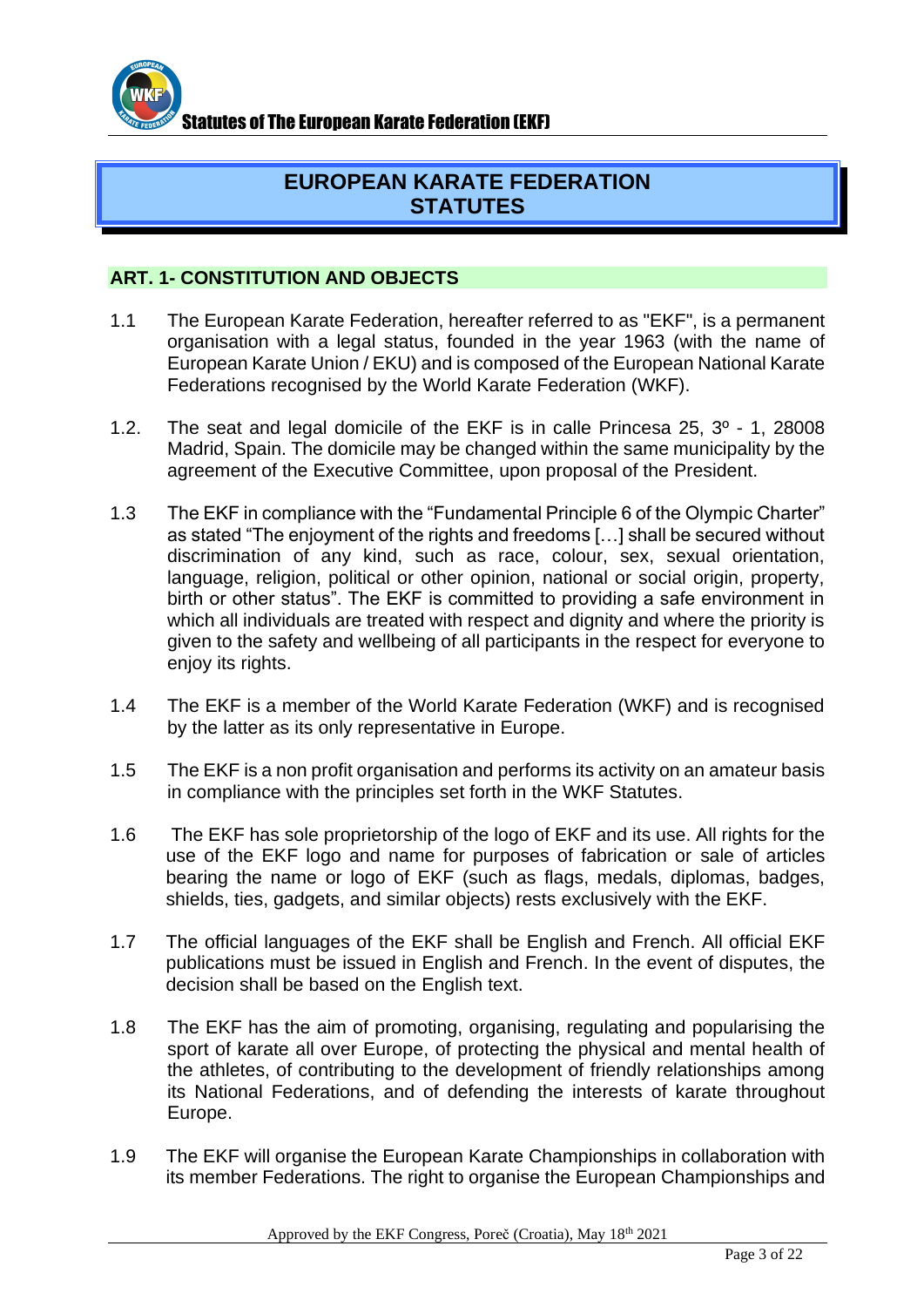

### **EUROPEAN KARATE FEDERATION STATUTES**

#### **ART. 1- CONSTITUTION AND OBJECTS**

- 1.1 The European Karate Federation, hereafter referred to as "EKF", is a permanent organisation with a legal status, founded in the year 1963 (with the name of European Karate Union / EKU) and is composed of the European National Karate Federations recognised by the World Karate Federation (WKF).
- 1.2. The seat and legal domicile of the EKF is in calle Princesa 25, 3º 1, 28008 Madrid, Spain. The domicile may be changed within the same municipality by the agreement of the Executive Committee, upon proposal of the President.
- 1.3 The EKF in compliance with the "Fundamental Principle 6 of the Olympic Charter" as stated "The enjoyment of the rights and freedoms […] shall be secured without discrimination of any kind, such as race, colour, sex, sexual orientation, language, religion, political or other opinion, national or social origin, property, birth or other status". The EKF is committed to providing a safe environment in which all individuals are treated with respect and dignity and where the priority is given to the safety and wellbeing of all participants in the respect for everyone to enjoy its rights.
- 1.4 The EKF is a member of the World Karate Federation (WKF) and is recognised by the latter as its only representative in Europe.
- 1.5 The EKF is a non profit organisation and performs its activity on an amateur basis in compliance with the principles set forth in the WKF Statutes.
- 1.6 The EKF has sole proprietorship of the logo of EKF and its use. All rights for the use of the EKF logo and name for purposes of fabrication or sale of articles bearing the name or logo of EKF (such as flags, medals, diplomas, badges, shields, ties, gadgets, and similar objects) rests exclusively with the EKF.
- 1.7 The official languages of the EKF shall be English and French. All official EKF publications must be issued in English and French. In the event of disputes, the decision shall be based on the English text.
- 1.8 The EKF has the aim of promoting, organising, regulating and popularising the sport of karate all over Europe, of protecting the physical and mental health of the athletes, of contributing to the development of friendly relationships among its National Federations, and of defending the interests of karate throughout Europe.
- 1.9 The EKF will organise the European Karate Championships in collaboration with its member Federations. The right to organise the European Championships and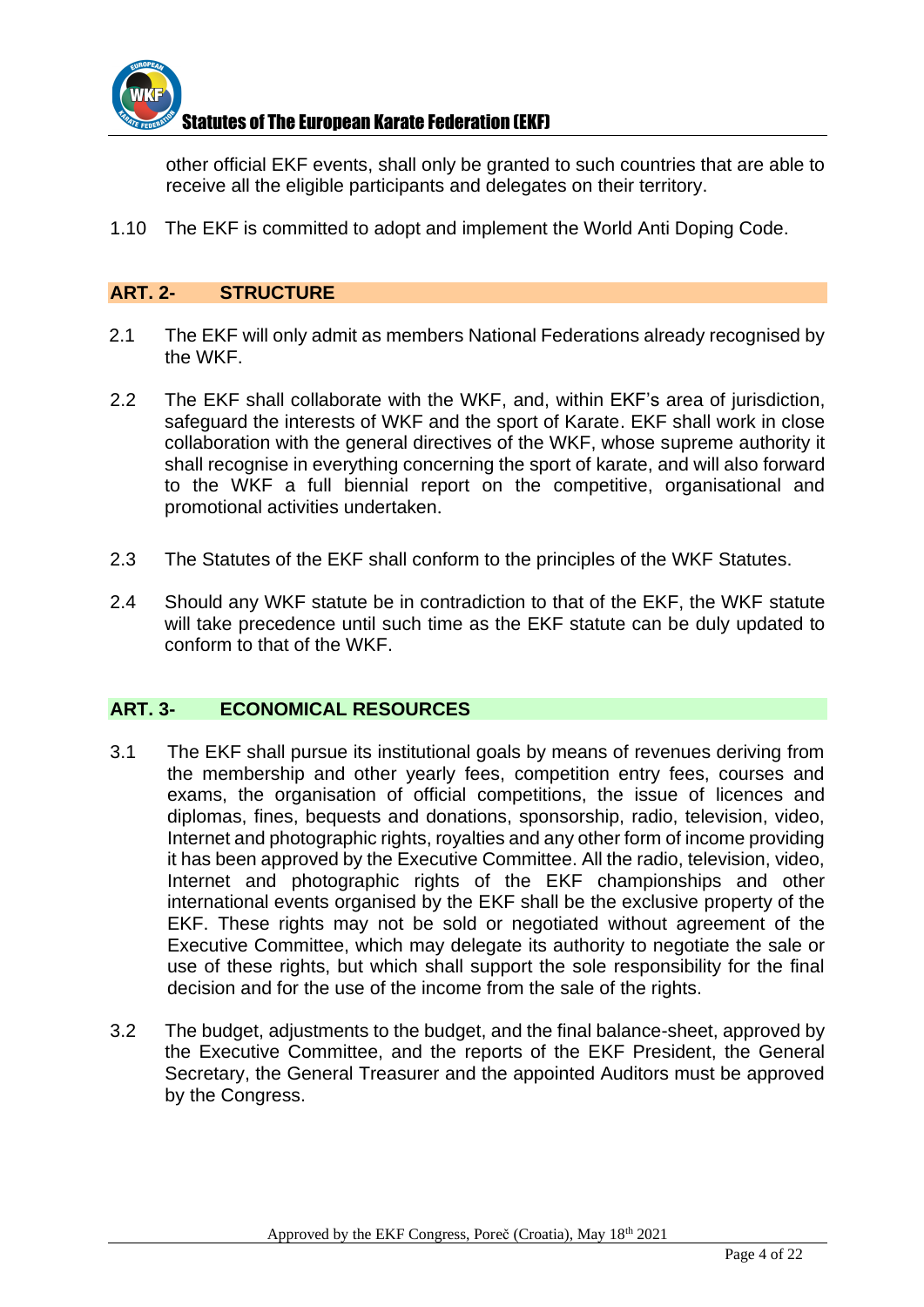

other official EKF events, shall only be granted to such countries that are able to receive all the eligible participants and delegates on their territory.

1.10 The EKF is committed to adopt and implement the World Anti Doping Code.

#### **ART. 2- STRUCTURE**

- 2.1 The EKF will only admit as members National Federations already recognised by the WKF.
- 2.2 The EKF shall collaborate with the WKF, and, within EKF's area of jurisdiction, safeguard the interests of WKF and the sport of Karate. EKF shall work in close collaboration with the general directives of the WKF, whose supreme authority it shall recognise in everything concerning the sport of karate, and will also forward to the WKF a full biennial report on the competitive, organisational and promotional activities undertaken.
- 2.3 The Statutes of the EKF shall conform to the principles of the WKF Statutes.
- 2.4 Should any WKF statute be in contradiction to that of the EKF, the WKF statute will take precedence until such time as the EKF statute can be duly updated to conform to that of the WKF.

#### **ART. 3- ECONOMICAL RESOURCES**

- 3.1 The EKF shall pursue its institutional goals by means of revenues deriving from the membership and other yearly fees, competition entry fees, courses and exams, the organisation of official competitions, the issue of licences and diplomas, fines, bequests and donations, sponsorship, radio, television, video, Internet and photographic rights, royalties and any other form of income providing it has been approved by the Executive Committee. All the radio, television, video, Internet and photographic rights of the EKF championships and other international events organised by the EKF shall be the exclusive property of the EKF. These rights may not be sold or negotiated without agreement of the Executive Committee, which may delegate its authority to negotiate the sale or use of these rights, but which shall support the sole responsibility for the final decision and for the use of the income from the sale of the rights.
- 3.2 The budget, adjustments to the budget, and the final balance-sheet, approved by the Executive Committee, and the reports of the EKF President, the General Secretary, the General Treasurer and the appointed Auditors must be approved by the Congress.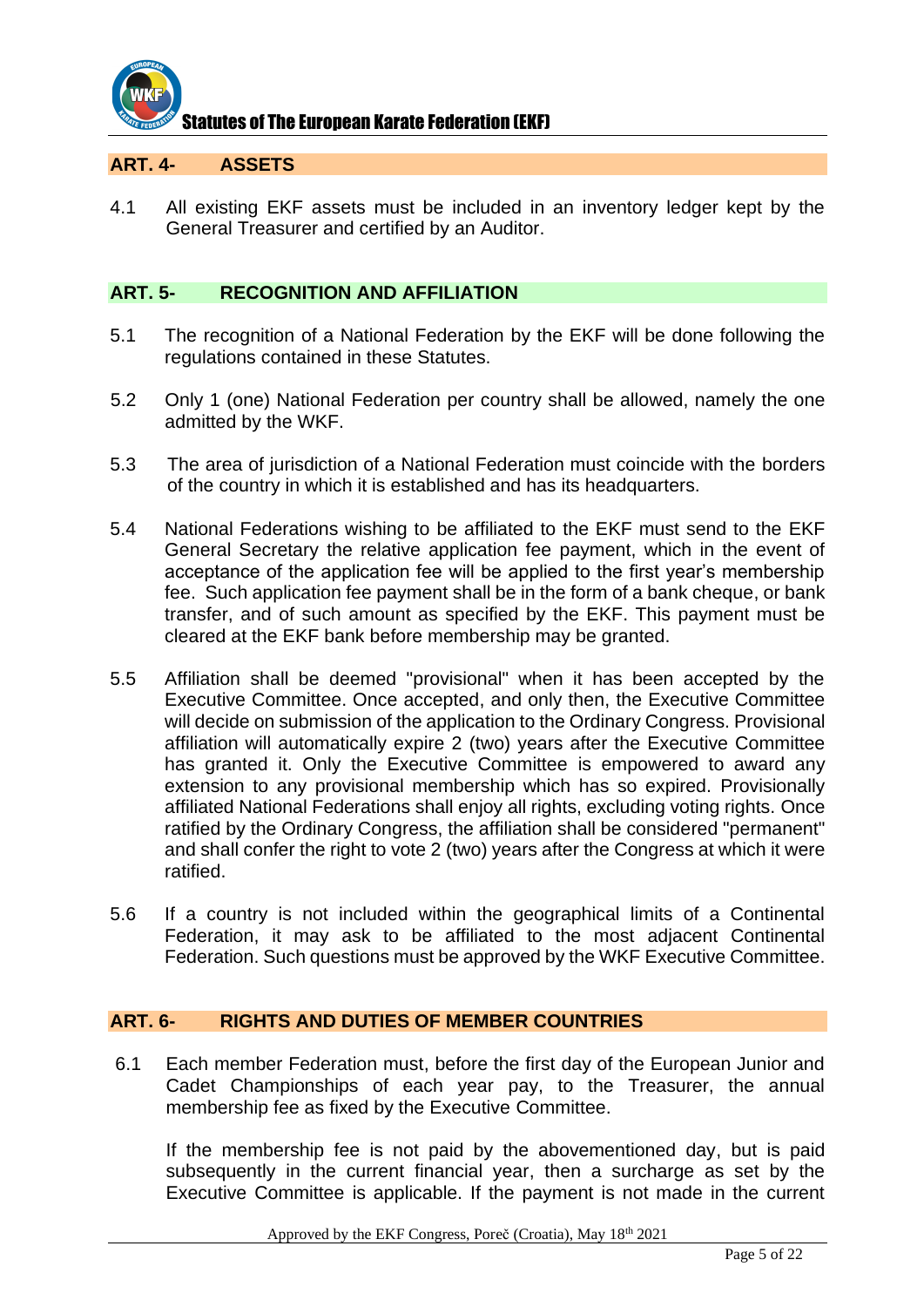

#### **ART. 4- ASSETS**

4.1 All existing EKF assets must be included in an inventory ledger kept by the General Treasurer and certified by an Auditor.

#### **ART. 5- RECOGNITION AND AFFILIATION**

- 5.1 The recognition of a National Federation by the EKF will be done following the regulations contained in these Statutes.
- 5.2 Only 1 (one) National Federation per country shall be allowed, namely the one admitted by the WKF.
- 5.3 The area of jurisdiction of a National Federation must coincide with the borders of the country in which it is established and has its headquarters.
- 5.4 National Federations wishing to be affiliated to the EKF must send to the EKF General Secretary the relative application fee payment, which in the event of acceptance of the application fee will be applied to the first year's membership fee. Such application fee payment shall be in the form of a bank cheque, or bank transfer, and of such amount as specified by the EKF. This payment must be cleared at the EKF bank before membership may be granted.
- 5.5 Affiliation shall be deemed "provisional" when it has been accepted by the Executive Committee. Once accepted, and only then, the Executive Committee will decide on submission of the application to the Ordinary Congress. Provisional affiliation will automatically expire 2 (two) years after the Executive Committee has granted it. Only the Executive Committee is empowered to award any extension to any provisional membership which has so expired. Provisionally affiliated National Federations shall enjoy all rights, excluding voting rights. Once ratified by the Ordinary Congress, the affiliation shall be considered "permanent" and shall confer the right to vote 2 (two) years after the Congress at which it were ratified.
- 5.6 If a country is not included within the geographical limits of a Continental Federation, it may ask to be affiliated to the most adjacent Continental Federation. Such questions must be approved by the WKF Executive Committee.

#### **ART. 6- RIGHTS AND DUTIES OF MEMBER COUNTRIES**

6.1 Each member Federation must, before the first day of the European Junior and Cadet Championships of each year pay, to the Treasurer, the annual membership fee as fixed by the Executive Committee.

If the membership fee is not paid by the abovementioned day, but is paid subsequently in the current financial year, then a surcharge as set by the Executive Committee is applicable. If the payment is not made in the current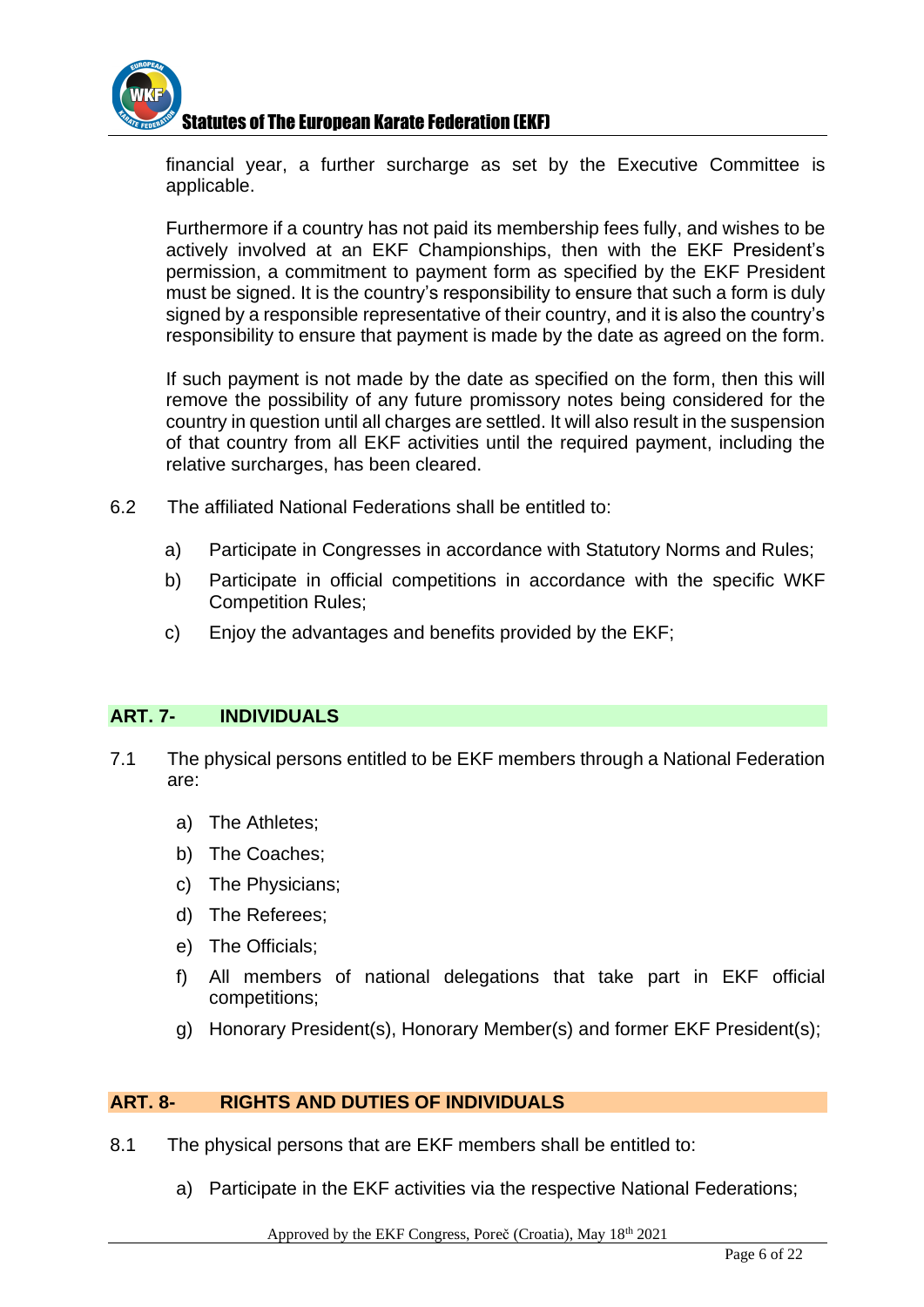

financial year, a further surcharge as set by the Executive Committee is applicable.

Furthermore if a country has not paid its membership fees fully, and wishes to be actively involved at an EKF Championships, then with the EKF President's permission, a commitment to payment form as specified by the EKF President must be signed. It is the country's responsibility to ensure that such a form is duly signed by a responsible representative of their country, and it is also the country's responsibility to ensure that payment is made by the date as agreed on the form.

If such payment is not made by the date as specified on the form, then this will remove the possibility of any future promissory notes being considered for the country in question until all charges are settled. It will also result in the suspension of that country from all EKF activities until the required payment, including the relative surcharges, has been cleared.

- 6.2 The affiliated National Federations shall be entitled to:
	- a) Participate in Congresses in accordance with Statutory Norms and Rules;
	- b) Participate in official competitions in accordance with the specific WKF Competition Rules;
	- c) Enjoy the advantages and benefits provided by the EKF;

#### **ART. 7- INDIVIDUALS**

- 7.1 The physical persons entitled to be EKF members through a National Federation are:
	- a) The Athletes;
	- b) The Coaches;
	- c) The Physicians;
	- d) The Referees;
	- e) The Officials;
	- f) All members of national delegations that take part in EKF official competitions;
	- g) Honorary President(s), Honorary Member(s) and former EKF President(s);

#### **ART. 8- RIGHTS AND DUTIES OF INDIVIDUALS**

- 8.1 The physical persons that are EKF members shall be entitled to:
	- a) Participate in the EKF activities via the respective National Federations;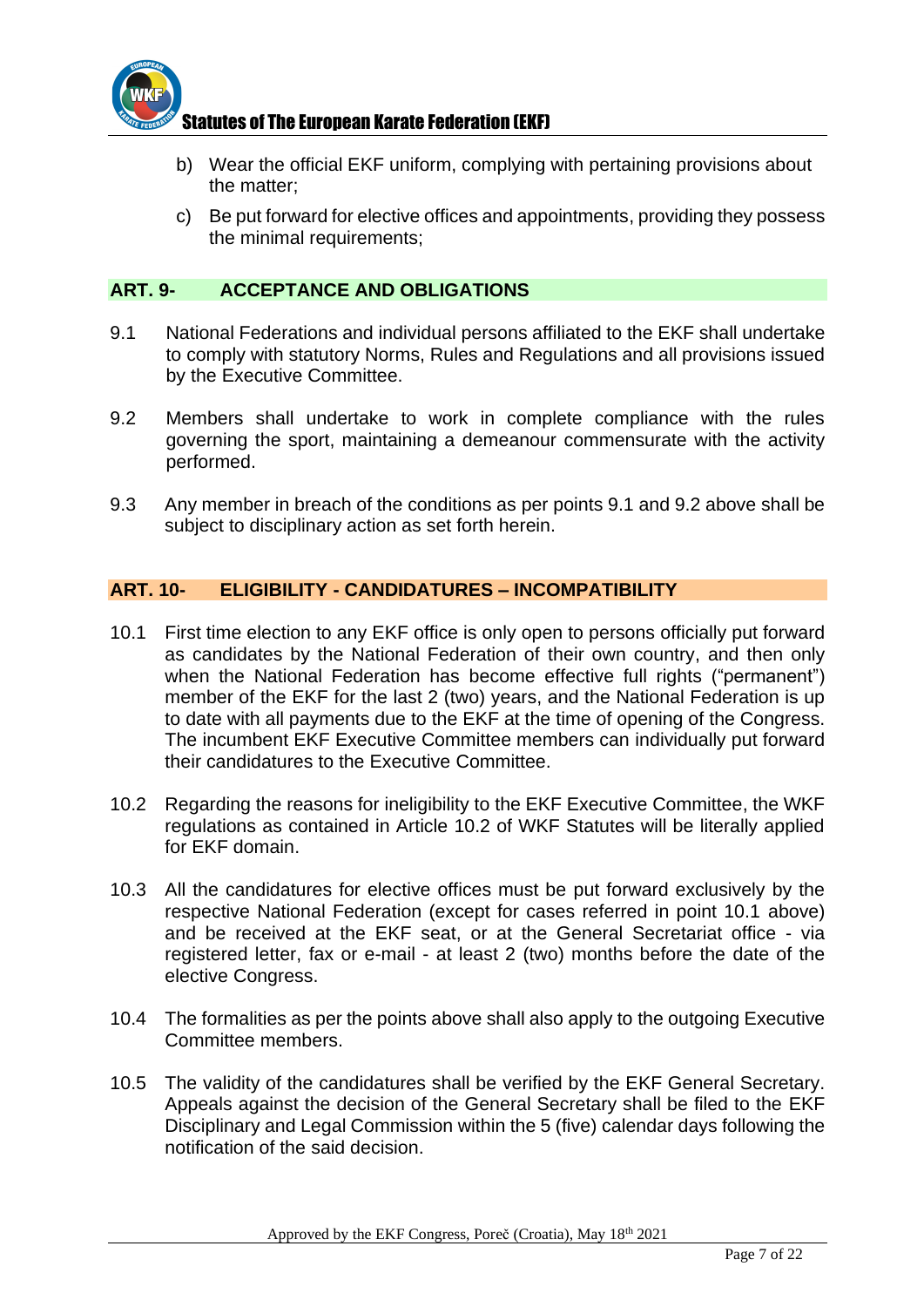

- b) Wear the official EKF uniform, complying with pertaining provisions about the matter;
- c) Be put forward for elective offices and appointments, providing they possess the minimal requirements;

#### **ART. 9- ACCEPTANCE AND OBLIGATIONS**

- 9.1 National Federations and individual persons affiliated to the EKF shall undertake to comply with statutory Norms, Rules and Regulations and all provisions issued by the Executive Committee.
- 9.2 Members shall undertake to work in complete compliance with the rules governing the sport, maintaining a demeanour commensurate with the activity performed.
- 9.3 Any member in breach of the conditions as per points 9.1 and 9.2 above shall be subject to disciplinary action as set forth herein.

### **ART. 10- ELIGIBILITY - CANDIDATURES – INCOMPATIBILITY**

- 10.1 First time election to any EKF office is only open to persons officially put forward as candidates by the National Federation of their own country, and then only when the National Federation has become effective full rights ("permanent") member of the EKF for the last 2 (two) years, and the National Federation is up to date with all payments due to the EKF at the time of opening of the Congress. The incumbent EKF Executive Committee members can individually put forward their candidatures to the Executive Committee.
- 10.2 Regarding the reasons for ineligibility to the EKF Executive Committee, the WKF regulations as contained in Article 10.2 of WKF Statutes will be literally applied for EKF domain.
- 10.3 All the candidatures for elective offices must be put forward exclusively by the respective National Federation (except for cases referred in point 10.1 above) and be received at the EKF seat, or at the General Secretariat office - via registered letter, fax or e-mail - at least 2 (two) months before the date of the elective Congress.
- 10.4 The formalities as per the points above shall also apply to the outgoing Executive Committee members.
- 10.5 The validity of the candidatures shall be verified by the EKF General Secretary. Appeals against the decision of the General Secretary shall be filed to the EKF Disciplinary and Legal Commission within the 5 (five) calendar days following the notification of the said decision.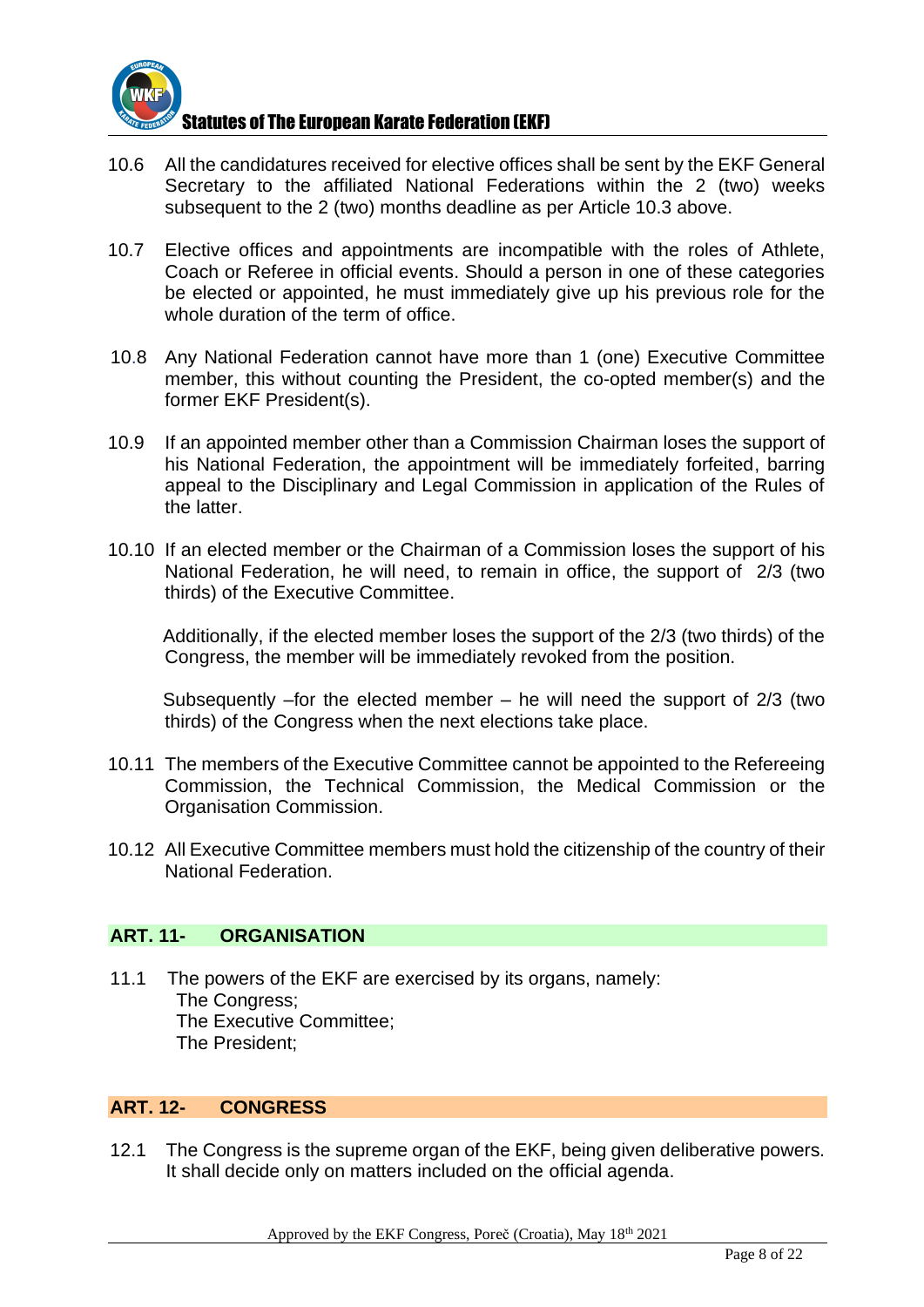

- 10.6 All the candidatures received for elective offices shall be sent by the EKF General Secretary to the affiliated National Federations within the 2 (two) weeks subsequent to the 2 (two) months deadline as per Article 10.3 above.
- 10.7 Elective offices and appointments are incompatible with the roles of Athlete, Coach or Referee in official events. Should a person in one of these categories be elected or appointed, he must immediately give up his previous role for the whole duration of the term of office.
- 10.8 Any National Federation cannot have more than 1 (one) Executive Committee member, this without counting the President, the co-opted member(s) and the former EKF President(s).
- 10.9 If an appointed member other than a Commission Chairman loses the support of his National Federation, the appointment will be immediately forfeited, barring appeal to the Disciplinary and Legal Commission in application of the Rules of the latter.
- 10.10 If an elected member or the Chairman of a Commission loses the support of his National Federation, he will need, to remain in office, the support of 2/3 (two thirds) of the Executive Committee.

Additionally, if the elected member loses the support of the 2/3 (two thirds) of the Congress, the member will be immediately revoked from the position.

Subsequently –for the elected member – he will need the support of 2/3 (two thirds) of the Congress when the next elections take place.

- 10.11 The members of the Executive Committee cannot be appointed to the Refereeing Commission, the Technical Commission, the Medical Commission or the Organisation Commission.
- 10.12 All Executive Committee members must hold the citizenship of the country of their National Federation.

#### **ART. 11- ORGANISATION**

11.1 The powers of the EKF are exercised by its organs, namely: The Congress; The Executive Committee; The President;

### **ART. 12- CONGRESS**

12.1 The Congress is the supreme organ of the EKF, being given deliberative powers. It shall decide only on matters included on the official agenda.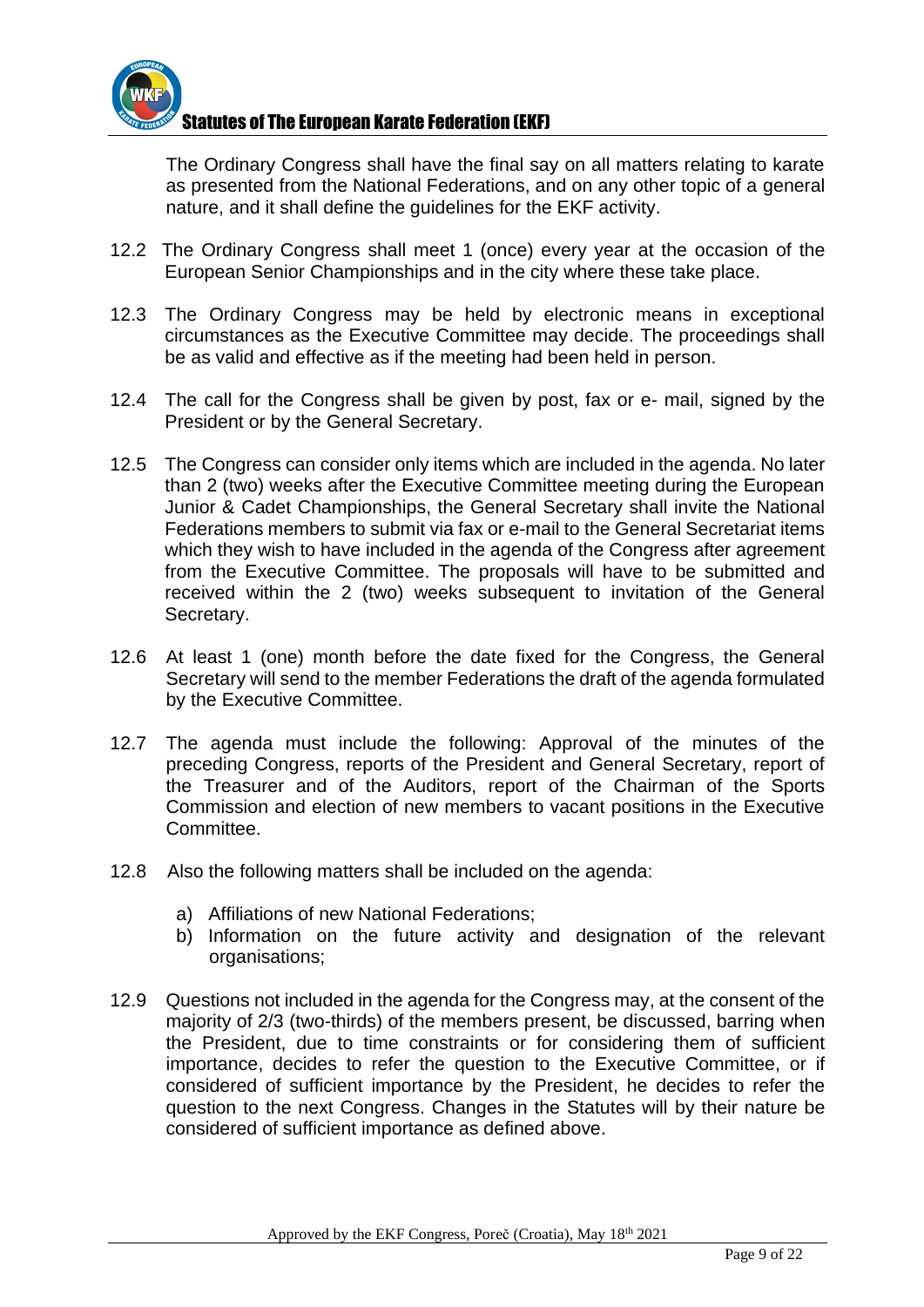

The Ordinary Congress shall have the final say on all matters relating to karate as presented from the National Federations, and on any other topic of a general nature, and it shall define the guidelines for the EKF activity.

- 12.2 The Ordinary Congress shall meet 1 (once) every year at the occasion of the European Senior Championships and in the city where these take place.
- 12.3 The Ordinary Congress may be held by electronic means in exceptional circumstances as the Executive Committee may decide. The proceedings shall be as valid and effective as if the meeting had been held in person.
- 12.4 The call for the Congress shall be given by post, fax or e- mail, signed by the President or by the General Secretary.
- 12.5 The Congress can consider only items which are included in the agenda. No later than 2 (two) weeks after the Executive Committee meeting during the European Junior & Cadet Championships, the General Secretary shall invite the National Federations members to submit via fax or e-mail to the General Secretariat items which they wish to have included in the agenda of the Congress after agreement from the Executive Committee. The proposals will have to be submitted and received within the 2 (two) weeks subsequent to invitation of the General Secretary.
- 12.6 At least 1 (one) month before the date fixed for the Congress, the General Secretary will send to the member Federations the draft of the agenda formulated by the Executive Committee.
- 12.7 The agenda must include the following: Approval of the minutes of the preceding Congress, reports of the President and General Secretary, report of the Treasurer and of the Auditors, report of the Chairman of the Sports Commission and election of new members to vacant positions in the Executive **Committee**
- 12.8 Also the following matters shall be included on the agenda:
	- a) Affiliations of new National Federations;
	- b) Information on the future activity and designation of the relevant organisations;
- 12.9 Questions not included in the agenda for the Congress may, at the consent of the majority of 2/3 (two-thirds) of the members present, be discussed, barring when the President, due to time constraints or for considering them of sufficient importance, decides to refer the question to the Executive Committee, or if considered of sufficient importance by the President, he decides to refer the question to the next Congress. Changes in the Statutes will by their nature be considered of sufficient importance as defined above.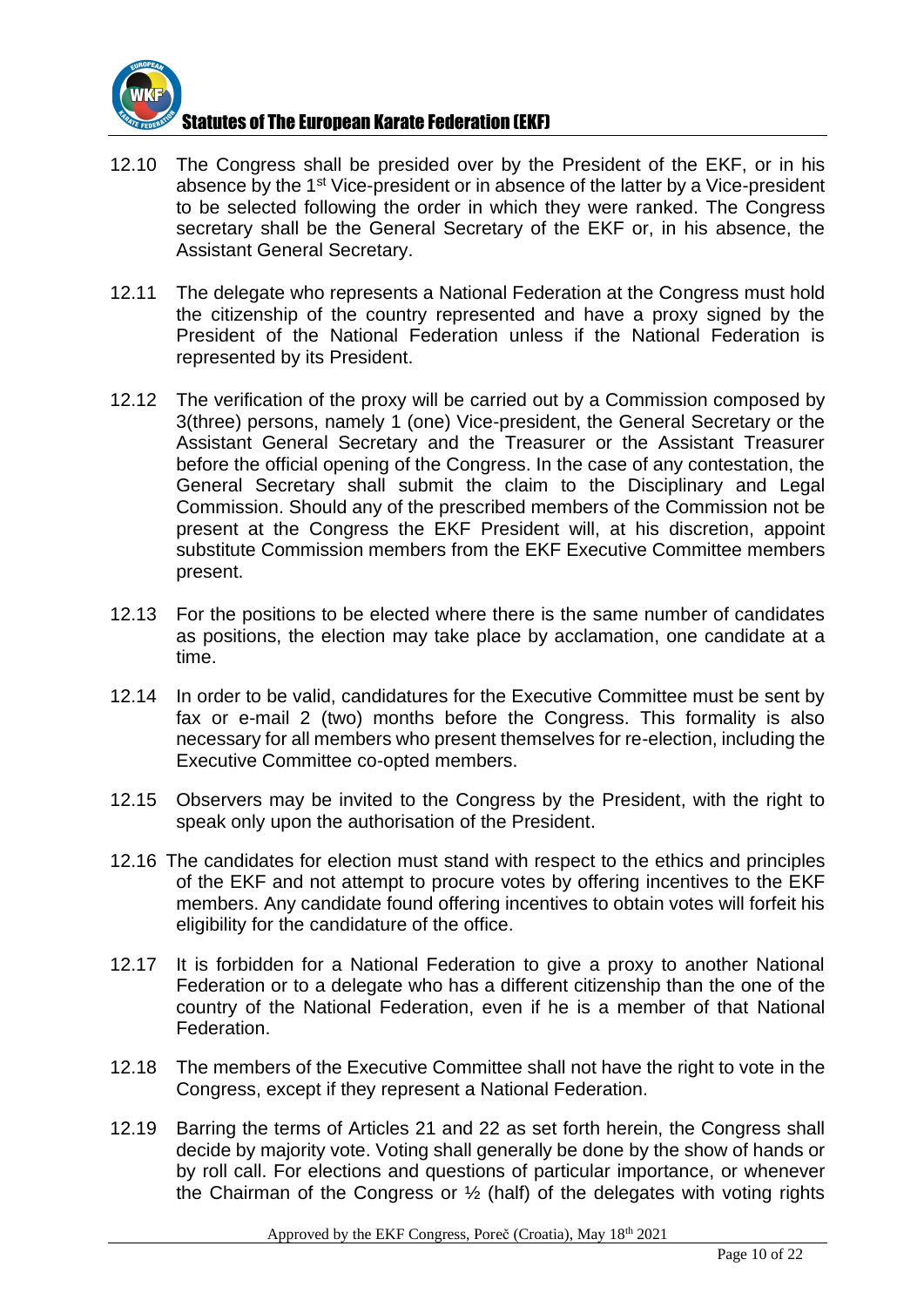

- 12.10 The Congress shall be presided over by the President of the EKF, or in his absence by the 1<sup>st</sup> Vice-president or in absence of the latter by a Vice-president to be selected following the order in which they were ranked. The Congress secretary shall be the General Secretary of the EKF or, in his absence, the Assistant General Secretary.
- 12.11 The delegate who represents a National Federation at the Congress must hold the citizenship of the country represented and have a proxy signed by the President of the National Federation unless if the National Federation is represented by its President.
- 12.12 The verification of the proxy will be carried out by a Commission composed by 3(three) persons, namely 1 (one) Vice-president, the General Secretary or the Assistant General Secretary and the Treasurer or the Assistant Treasurer before the official opening of the Congress. In the case of any contestation, the General Secretary shall submit the claim to the Disciplinary and Legal Commission. Should any of the prescribed members of the Commission not be present at the Congress the EKF President will, at his discretion, appoint substitute Commission members from the EKF Executive Committee members present.
- 12.13 For the positions to be elected where there is the same number of candidates as positions, the election may take place by acclamation, one candidate at a time.
- 12.14 In order to be valid, candidatures for the Executive Committee must be sent by fax or e-mail 2 (two) months before the Congress. This formality is also necessary for all members who present themselves for re-election, including the Executive Committee co-opted members.
- 12.15 Observers may be invited to the Congress by the President, with the right to speak only upon the authorisation of the President.
- 12.16 The candidates for election must stand with respect to the ethics and principles of the EKF and not attempt to procure votes by offering incentives to the EKF members. Any candidate found offering incentives to obtain votes will forfeit his eligibility for the candidature of the office.
- 12.17 It is forbidden for a National Federation to give a proxy to another National Federation or to a delegate who has a different citizenship than the one of the country of the National Federation, even if he is a member of that National Federation.
- 12.18 The members of the Executive Committee shall not have the right to vote in the Congress, except if they represent a National Federation.
- 12.19 Barring the terms of Articles 21 and 22 as set forth herein, the Congress shall decide by majority vote. Voting shall generally be done by the show of hands or by roll call. For elections and questions of particular importance, or whenever the Chairman of the Congress or ½ (half) of the delegates with voting rights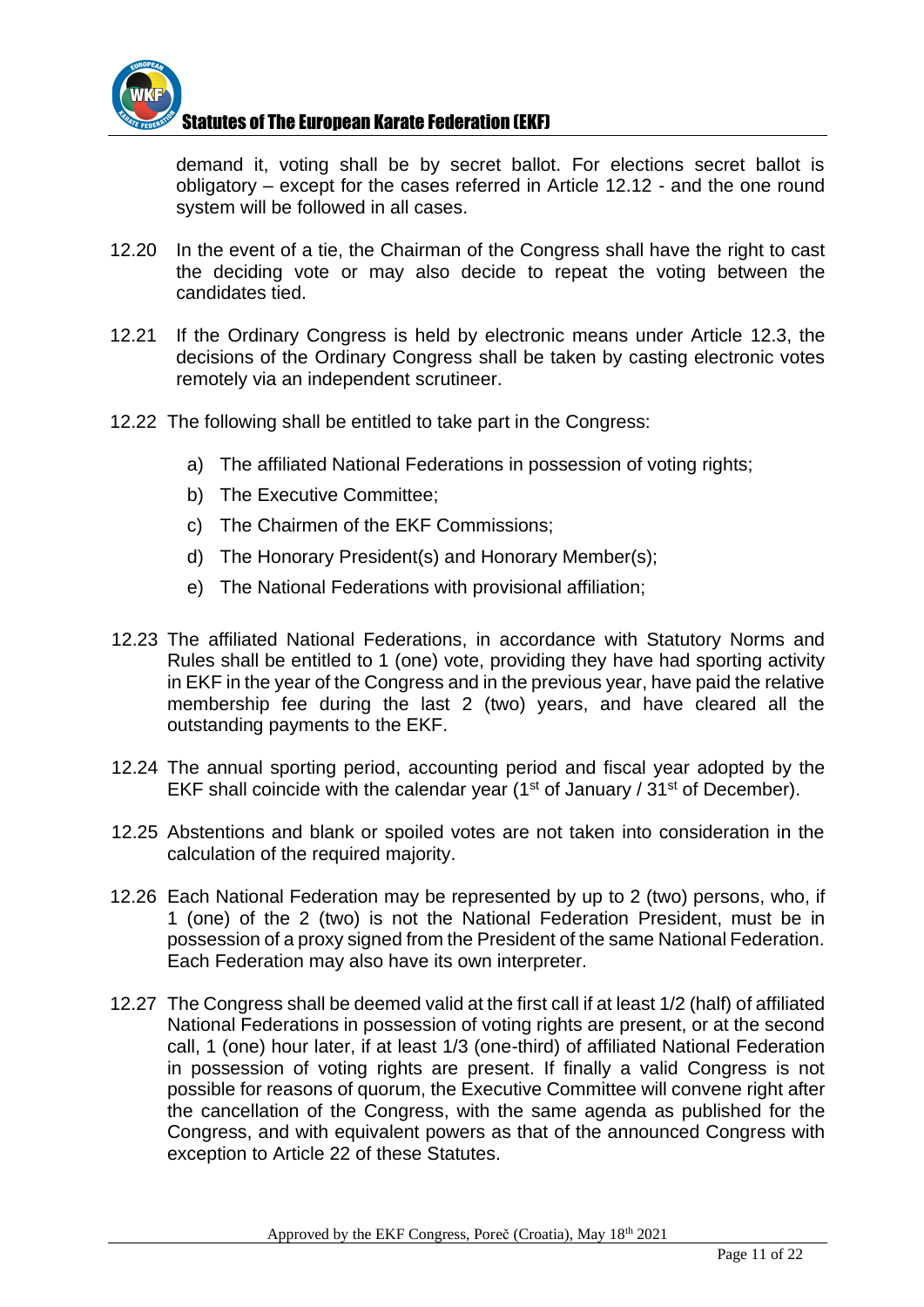

demand it, voting shall be by secret ballot. For elections secret ballot is obligatory – except for the cases referred in Article 12.12 - and the one round system will be followed in all cases.

- 12.20 In the event of a tie, the Chairman of the Congress shall have the right to cast the deciding vote or may also decide to repeat the voting between the candidates tied.
- 12.21 If the Ordinary Congress is held by electronic means under Article 12.3, the decisions of the Ordinary Congress shall be taken by casting electronic votes remotely via an independent scrutineer.
- 12.22 The following shall be entitled to take part in the Congress:
	- a) The affiliated National Federations in possession of voting rights;
	- b) The Executive Committee;
	- c) The Chairmen of the EKF Commissions;
	- d) The Honorary President(s) and Honorary Member(s);
	- e) The National Federations with provisional affiliation;
- 12.23 The affiliated National Federations, in accordance with Statutory Norms and Rules shall be entitled to 1 (one) vote, providing they have had sporting activity in EKF in the year of the Congress and in the previous year, have paid the relative membership fee during the last 2 (two) years, and have cleared all the outstanding payments to the EKF.
- 12.24 The annual sporting period, accounting period and fiscal year adopted by the EKF shall coincide with the calendar year ( $1<sup>st</sup>$  of January /  $31<sup>st</sup>$  of December).
- 12.25 Abstentions and blank or spoiled votes are not taken into consideration in the calculation of the required majority.
- 12.26 Each National Federation may be represented by up to 2 (two) persons, who, if 1 (one) of the 2 (two) is not the National Federation President, must be in possession of a proxy signed from the President of the same National Federation. Each Federation may also have its own interpreter.
- 12.27 The Congress shall be deemed valid at the first call if at least 1/2 (half) of affiliated National Federations in possession of voting rights are present, or at the second call, 1 (one) hour later, if at least 1/3 (one-third) of affiliated National Federation in possession of voting rights are present. If finally a valid Congress is not possible for reasons of quorum, the Executive Committee will convene right after the cancellation of the Congress, with the same agenda as published for the Congress, and with equivalent powers as that of the announced Congress with exception to Article 22 of these Statutes.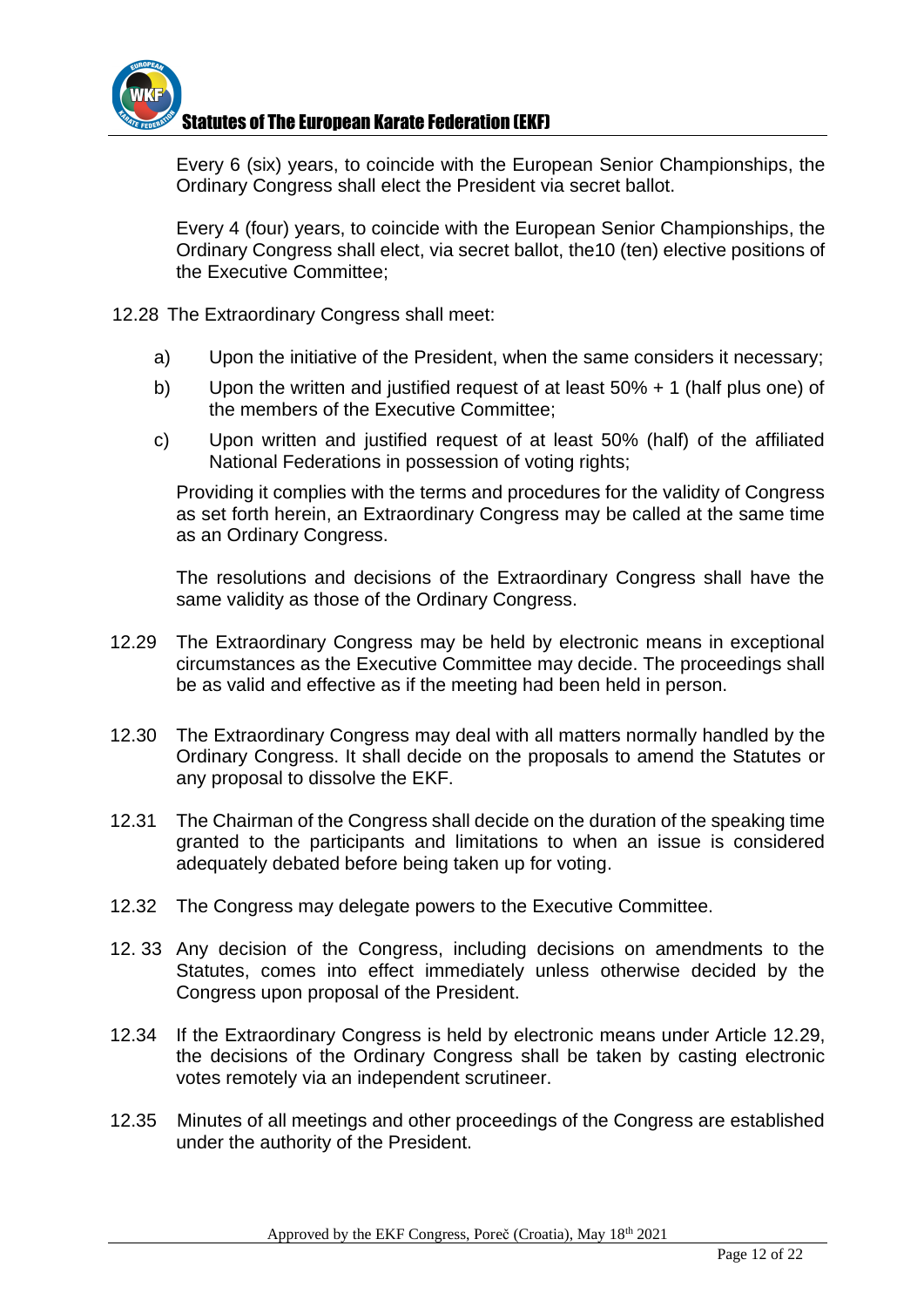

Every 6 (six) years, to coincide with the European Senior Championships, the Ordinary Congress shall elect the President via secret ballot.

Every 4 (four) years, to coincide with the European Senior Championships, the Ordinary Congress shall elect, via secret ballot, the10 (ten) elective positions of the Executive Committee;

- 12.28 The Extraordinary Congress shall meet:
	- a) Upon the initiative of the President, when the same considers it necessary;
	- b) Upon the written and justified request of at least 50% + 1 (half plus one) of the members of the Executive Committee;
	- c) Upon written and justified request of at least 50% (half) of the affiliated National Federations in possession of voting rights;

Providing it complies with the terms and procedures for the validity of Congress as set forth herein, an Extraordinary Congress may be called at the same time as an Ordinary Congress.

The resolutions and decisions of the Extraordinary Congress shall have the same validity as those of the Ordinary Congress.

- 12.29 The Extraordinary Congress may be held by electronic means in exceptional circumstances as the Executive Committee may decide. The proceedings shall be as valid and effective as if the meeting had been held in person.
- 12.30 The Extraordinary Congress may deal with all matters normally handled by the Ordinary Congress. It shall decide on the proposals to amend the Statutes or any proposal to dissolve the EKF.
- 12.31 The Chairman of the Congress shall decide on the duration of the speaking time granted to the participants and limitations to when an issue is considered adequately debated before being taken up for voting.
- 12.32 The Congress may delegate powers to the Executive Committee.
- 12. 33 Any decision of the Congress, including decisions on amendments to the Statutes, comes into effect immediately unless otherwise decided by the Congress upon proposal of the President.
- 12.34 If the Extraordinary Congress is held by electronic means under Article 12.29, the decisions of the Ordinary Congress shall be taken by casting electronic votes remotely via an independent scrutineer.
- 12.35 Minutes of all meetings and other proceedings of the Congress are established under the authority of the President.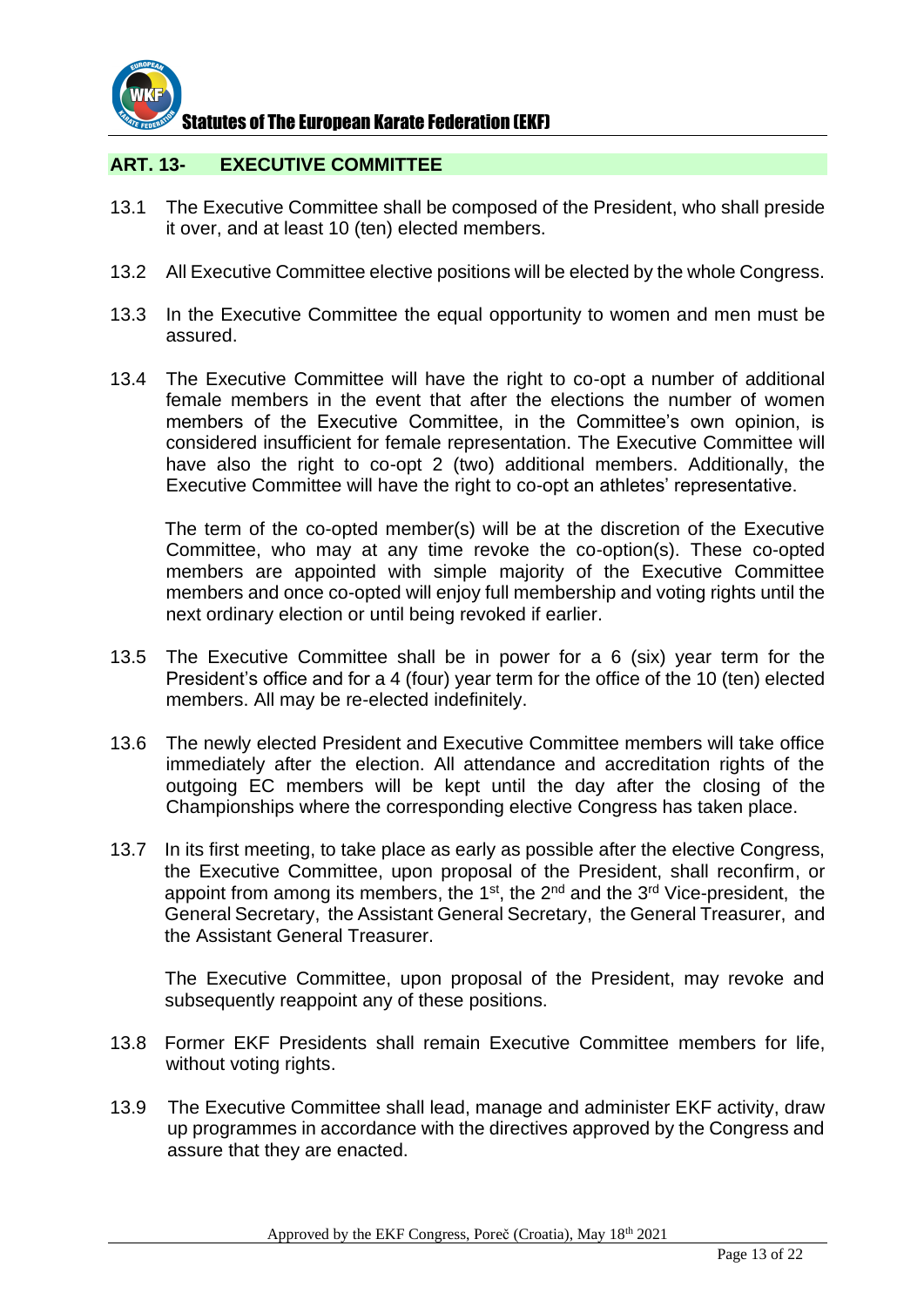

#### **ART. 13- EXECUTIVE COMMITTEE**

- 13.1 The Executive Committee shall be composed of the President, who shall preside it over, and at least 10 (ten) elected members.
- 13.2 All Executive Committee elective positions will be elected by the whole Congress.
- 13.3 In the Executive Committee the equal opportunity to women and men must be assured.
- 13.4 The Executive Committee will have the right to co-opt a number of additional female members in the event that after the elections the number of women members of the Executive Committee, in the Committee's own opinion, is considered insufficient for female representation. The Executive Committee will have also the right to co-opt 2 (two) additional members. Additionally, the Executive Committee will have the right to co-opt an athletes' representative.

The term of the co-opted member(s) will be at the discretion of the Executive Committee, who may at any time revoke the co-option(s). These co-opted members are appointed with simple majority of the Executive Committee members and once co-opted will enjoy full membership and voting rights until the next ordinary election or until being revoked if earlier.

- 13.5 The Executive Committee shall be in power for a 6 (six) year term for the President's office and for a 4 (four) year term for the office of the 10 (ten) elected members. All may be re-elected indefinitely.
- 13.6 The newly elected President and Executive Committee members will take office immediately after the election. All attendance and accreditation rights of the outgoing EC members will be kept until the day after the closing of the Championships where the corresponding elective Congress has taken place.
- 13.7 In its first meeting, to take place as early as possible after the elective Congress, the Executive Committee, upon proposal of the President, shall reconfirm, or appoint from among its members, the 1<sup>st</sup>, the 2<sup>nd</sup> and the 3<sup>rd</sup> Vice-president, the General Secretary, the Assistant General Secretary, the General Treasurer, and the Assistant General Treasurer.

The Executive Committee, upon proposal of the President, may revoke and subsequently reappoint any of these positions.

- 13.8 Former EKF Presidents shall remain Executive Committee members for life, without voting rights.
- 13.9 The Executive Committee shall lead, manage and administer EKF activity, draw up programmes in accordance with the directives approved by the Congress and assure that they are enacted.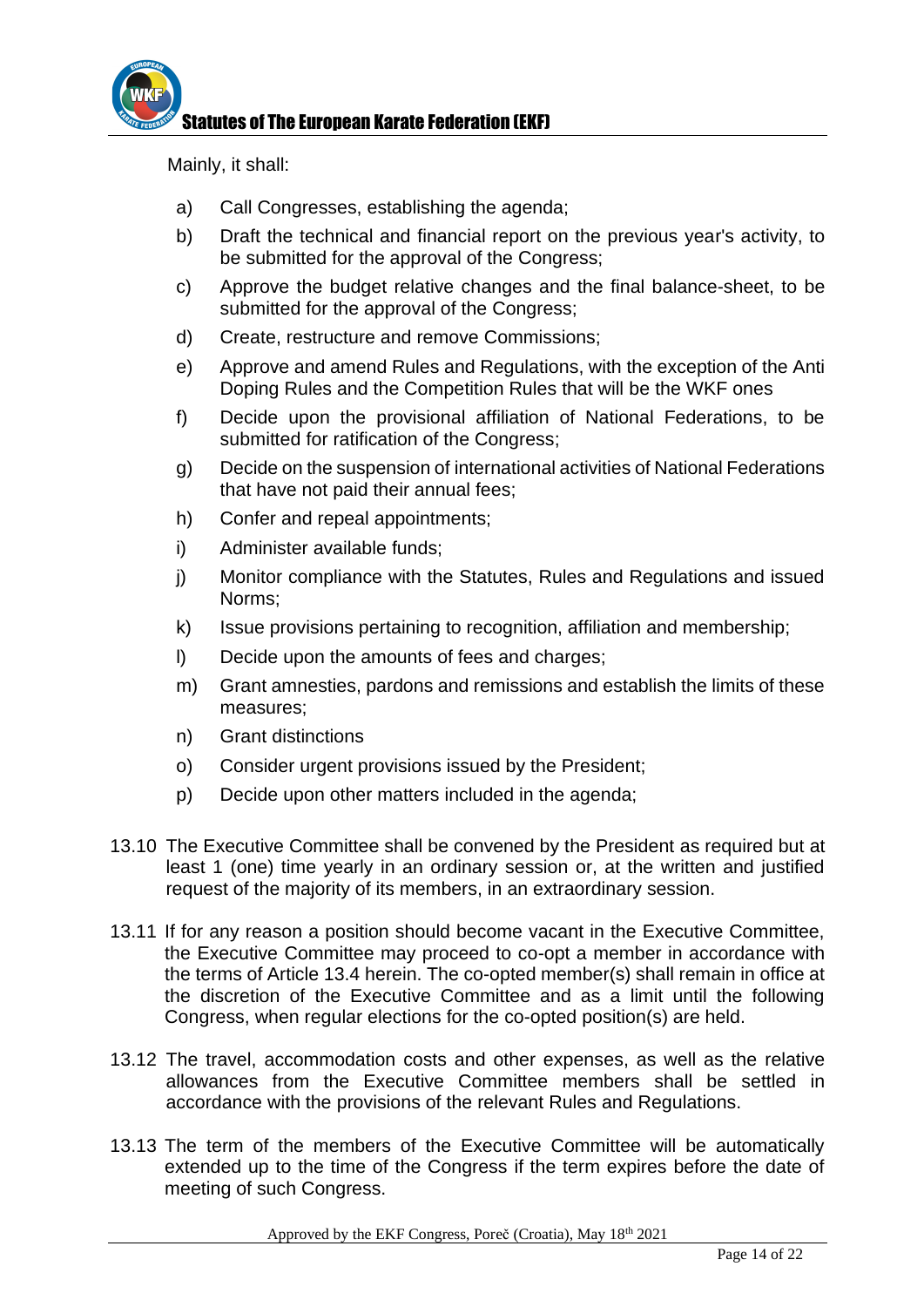

Mainly, it shall:

- a) Call Congresses, establishing the agenda;
- b) Draft the technical and financial report on the previous year's activity, to be submitted for the approval of the Congress;
- c) Approve the budget relative changes and the final balance-sheet, to be submitted for the approval of the Congress;
- d) Create, restructure and remove Commissions;
- e) Approve and amend Rules and Regulations, with the exception of the Anti Doping Rules and the Competition Rules that will be the WKF ones
- f) Decide upon the provisional affiliation of National Federations, to be submitted for ratification of the Congress;
- g) Decide on the suspension of international activities of National Federations that have not paid their annual fees;
- h) Confer and repeal appointments;
- i) Administer available funds;
- j) Monitor compliance with the Statutes, Rules and Regulations and issued Norms;
- k) Issue provisions pertaining to recognition, affiliation and membership;
- l) Decide upon the amounts of fees and charges;
- m) Grant amnesties, pardons and remissions and establish the limits of these measures;
- n) Grant distinctions
- o) Consider urgent provisions issued by the President;
- p) Decide upon other matters included in the agenda;
- 13.10 The Executive Committee shall be convened by the President as required but at least 1 (one) time yearly in an ordinary session or, at the written and justified request of the majority of its members, in an extraordinary session.
- 13.11 If for any reason a position should become vacant in the Executive Committee, the Executive Committee may proceed to co-opt a member in accordance with the terms of Article 13.4 herein. The co-opted member(s) shall remain in office at the discretion of the Executive Committee and as a limit until the following Congress, when regular elections for the co-opted position(s) are held.
- 13.12 The travel, accommodation costs and other expenses, as well as the relative allowances from the Executive Committee members shall be settled in accordance with the provisions of the relevant Rules and Regulations.
- 13.13 The term of the members of the Executive Committee will be automatically extended up to the time of the Congress if the term expires before the date of meeting of such Congress.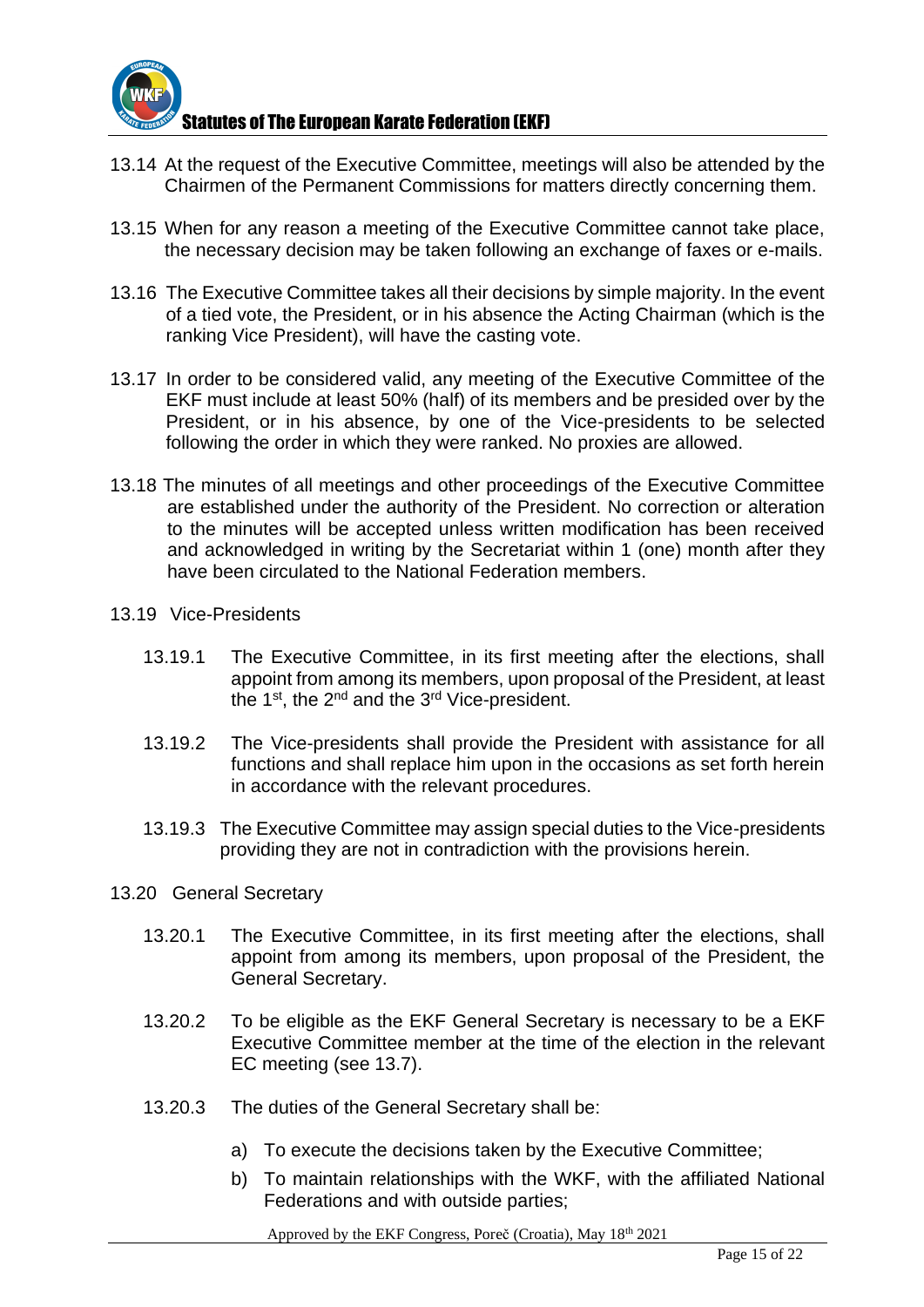

- 13.14 At the request of the Executive Committee, meetings will also be attended by the Chairmen of the Permanent Commissions for matters directly concerning them.
- 13.15 When for any reason a meeting of the Executive Committee cannot take place, the necessary decision may be taken following an exchange of faxes or e-mails.
- 13.16 The Executive Committee takes all their decisions by simple majority. In the event of a tied vote, the President, or in his absence the Acting Chairman (which is the ranking Vice President), will have the casting vote.
- 13.17 In order to be considered valid, any meeting of the Executive Committee of the EKF must include at least 50% (half) of its members and be presided over by the President, or in his absence, by one of the Vice-presidents to be selected following the order in which they were ranked. No proxies are allowed.
- 13.18 The minutes of all meetings and other proceedings of the Executive Committee are established under the authority of the President. No correction or alteration to the minutes will be accepted unless written modification has been received and acknowledged in writing by the Secretariat within 1 (one) month after they have been circulated to the National Federation members.
- 13.19 Vice-Presidents
	- 13.19.1 The Executive Committee, in its first meeting after the elections, shall appoint from among its members, upon proposal of the President, at least the 1<sup>st</sup>, the 2<sup>nd</sup> and the 3<sup>rd</sup> Vice-president.
	- 13.19.2 The Vice-presidents shall provide the President with assistance for all functions and shall replace him upon in the occasions as set forth herein in accordance with the relevant procedures.
	- 13.19.3 The Executive Committee may assign special duties to the Vice-presidents providing they are not in contradiction with the provisions herein.
- 13.20 General Secretary
	- 13.20.1 The Executive Committee, in its first meeting after the elections, shall appoint from among its members, upon proposal of the President, the General Secretary.
	- 13.20.2 To be eligible as the EKF General Secretary is necessary to be a EKF Executive Committee member at the time of the election in the relevant EC meeting (see 13.7).
	- 13.20.3 The duties of the General Secretary shall be:
		- a) To execute the decisions taken by the Executive Committee;
		- b) To maintain relationships with the WKF, with the affiliated National Federations and with outside parties;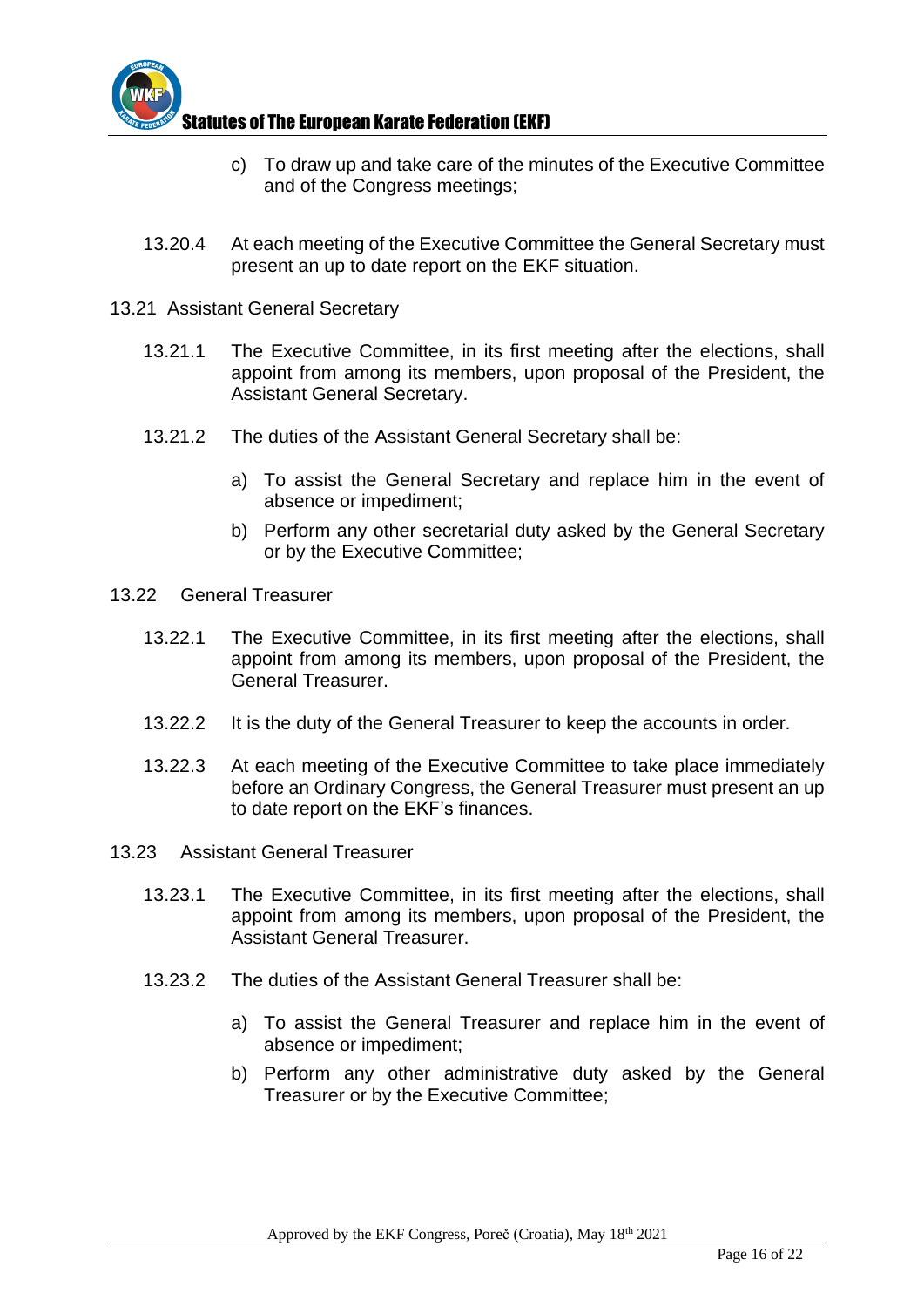

- c) To draw up and take care of the minutes of the Executive Committee and of the Congress meetings;
- 13.20.4 At each meeting of the Executive Committee the General Secretary must present an up to date report on the EKF situation.
- 13.21 Assistant General Secretary
	- 13.21.1 The Executive Committee, in its first meeting after the elections, shall appoint from among its members, upon proposal of the President, the Assistant General Secretary.
	- 13.21.2 The duties of the Assistant General Secretary shall be:
		- a) To assist the General Secretary and replace him in the event of absence or impediment;
		- b) Perform any other secretarial duty asked by the General Secretary or by the Executive Committee;
- 13.22 General Treasurer
	- 13.22.1 The Executive Committee, in its first meeting after the elections, shall appoint from among its members, upon proposal of the President, the General Treasurer.
	- 13.22.2 It is the duty of the General Treasurer to keep the accounts in order.
	- 13.22.3 At each meeting of the Executive Committee to take place immediately before an Ordinary Congress, the General Treasurer must present an up to date report on the EKF's finances.
- 13.23 Assistant General Treasurer
	- 13.23.1 The Executive Committee, in its first meeting after the elections, shall appoint from among its members, upon proposal of the President, the Assistant General Treasurer.
	- 13.23.2 The duties of the Assistant General Treasurer shall be:
		- a) To assist the General Treasurer and replace him in the event of absence or impediment;
		- b) Perform any other administrative duty asked by the General Treasurer or by the Executive Committee;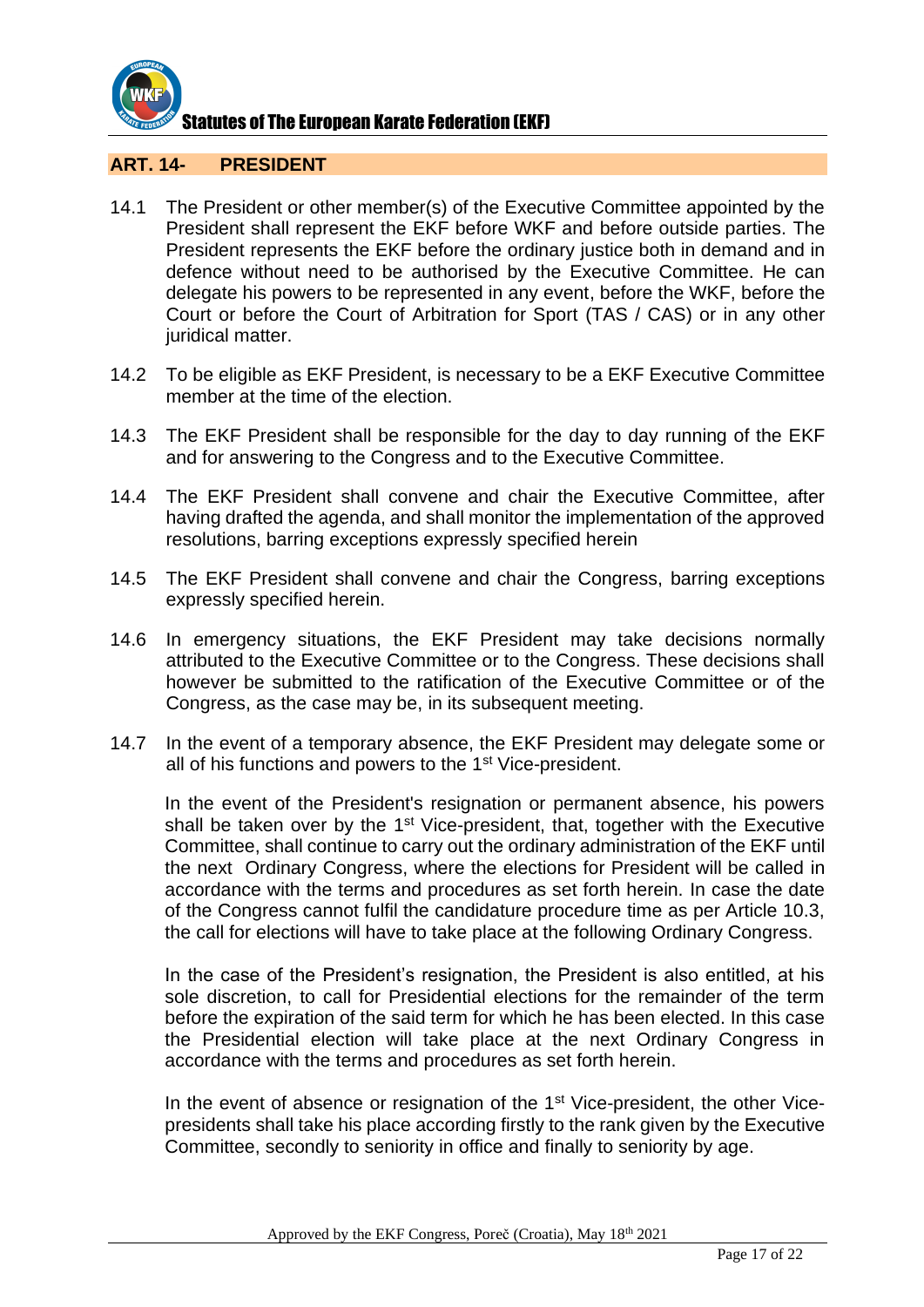

#### **ART. 14- PRESIDENT**

- 14.1 The President or other member(s) of the Executive Committee appointed by the President shall represent the EKF before WKF and before outside parties. The President represents the EKF before the ordinary justice both in demand and in defence without need to be authorised by the Executive Committee. He can delegate his powers to be represented in any event, before the WKF, before the Court or before the Court of Arbitration for Sport (TAS / CAS) or in any other juridical matter.
- 14.2 To be eligible as EKF President, is necessary to be a EKF Executive Committee member at the time of the election.
- 14.3 The EKF President shall be responsible for the day to day running of the EKF and for answering to the Congress and to the Executive Committee.
- 14.4 The EKF President shall convene and chair the Executive Committee, after having drafted the agenda, and shall monitor the implementation of the approved resolutions, barring exceptions expressly specified herein
- 14.5 The EKF President shall convene and chair the Congress, barring exceptions expressly specified herein.
- 14.6 In emergency situations, the EKF President may take decisions normally attributed to the Executive Committee or to the Congress. These decisions shall however be submitted to the ratification of the Executive Committee or of the Congress, as the case may be, in its subsequent meeting.
- 14.7 In the event of a temporary absence, the EKF President may delegate some or all of his functions and powers to the 1<sup>st</sup> Vice-president.

In the event of the President's resignation or permanent absence, his powers shall be taken over by the 1<sup>st</sup> Vice-president, that, together with the Executive Committee, shall continue to carry out the ordinary administration of the EKF until the next Ordinary Congress, where the elections for President will be called in accordance with the terms and procedures as set forth herein. In case the date of the Congress cannot fulfil the candidature procedure time as per Article 10.3, the call for elections will have to take place at the following Ordinary Congress.

In the case of the President's resignation, the President is also entitled, at his sole discretion, to call for Presidential elections for the remainder of the term before the expiration of the said term for which he has been elected. In this case the Presidential election will take place at the next Ordinary Congress in accordance with the terms and procedures as set forth herein.

In the event of absence or resignation of the 1<sup>st</sup> Vice-president, the other Vicepresidents shall take his place according firstly to the rank given by the Executive Committee, secondly to seniority in office and finally to seniority by age.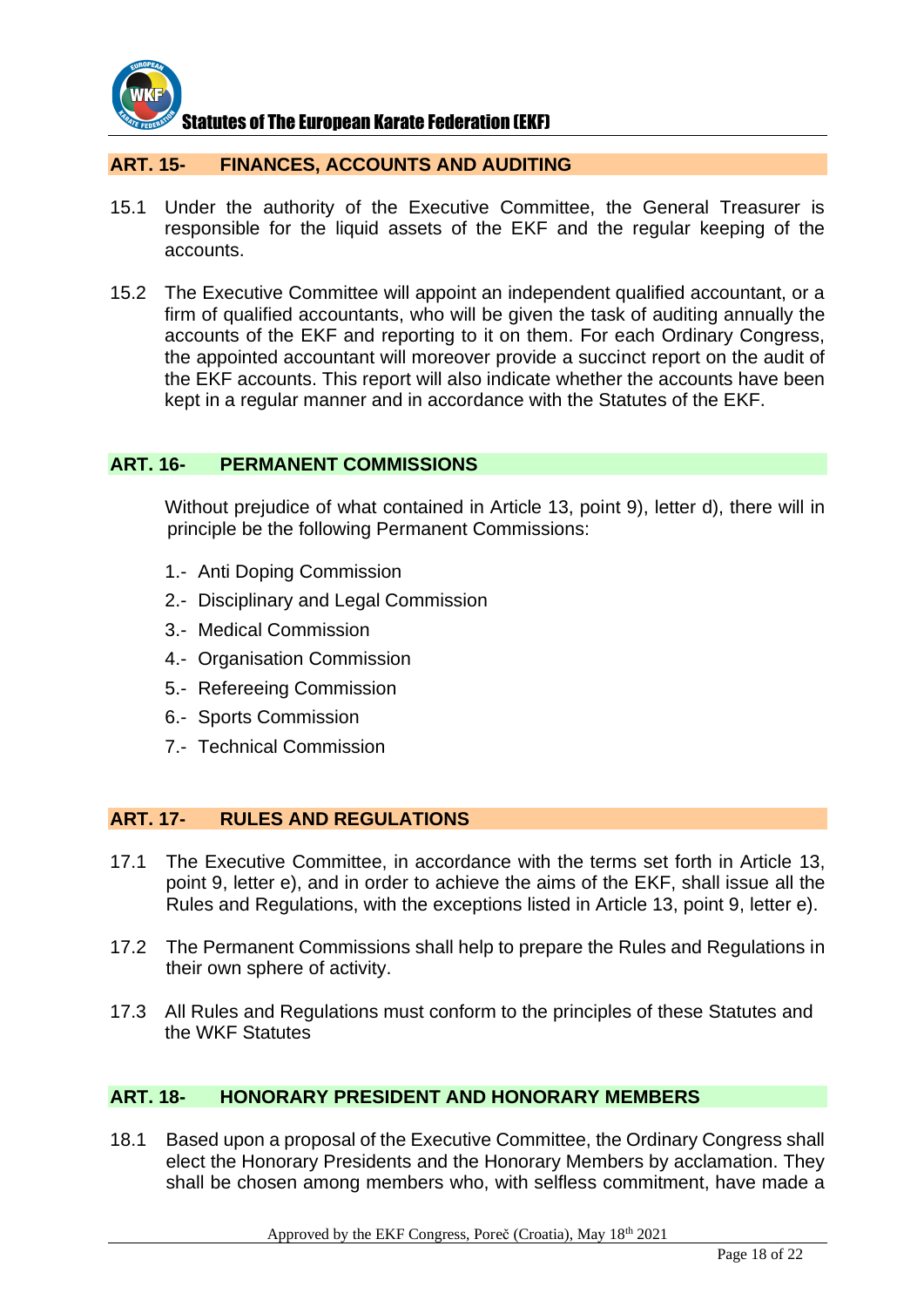

#### **ART. 15- FINANCES, ACCOUNTS AND AUDITING**

- 15.1 Under the authority of the Executive Committee, the General Treasurer is responsible for the liquid assets of the EKF and the regular keeping of the accounts.
- 15.2 The Executive Committee will appoint an independent qualified accountant, or a firm of qualified accountants, who will be given the task of auditing annually the accounts of the EKF and reporting to it on them. For each Ordinary Congress, the appointed accountant will moreover provide a succinct report on the audit of the EKF accounts. This report will also indicate whether the accounts have been kept in a regular manner and in accordance with the Statutes of the EKF.

#### **ART. 16- PERMANENT COMMISSIONS**

Without prejudice of what contained in Article 13, point 9), letter d), there will in principle be the following Permanent Commissions:

- 1.- Anti Doping Commission
- 2.- Disciplinary and Legal Commission
- 3.- Medical Commission
- 4.- Organisation Commission
- 5.- Refereeing Commission
- 6.- Sports Commission
- 7.- Technical Commission

#### **ART. 17- RULES AND REGULATIONS**

- 17.1 The Executive Committee, in accordance with the terms set forth in Article 13, point 9, letter e), and in order to achieve the aims of the EKF, shall issue all the Rules and Regulations, with the exceptions listed in Article 13, point 9, letter e).
- 17.2 The Permanent Commissions shall help to prepare the Rules and Regulations in their own sphere of activity.
- 17.3 All Rules and Regulations must conform to the principles of these Statutes and the WKF Statutes

#### **ART. 18- HONORARY PRESIDENT AND HONORARY MEMBERS**

18.1 Based upon a proposal of the Executive Committee, the Ordinary Congress shall elect the Honorary Presidents and the Honorary Members by acclamation. They shall be chosen among members who, with selfless commitment, have made a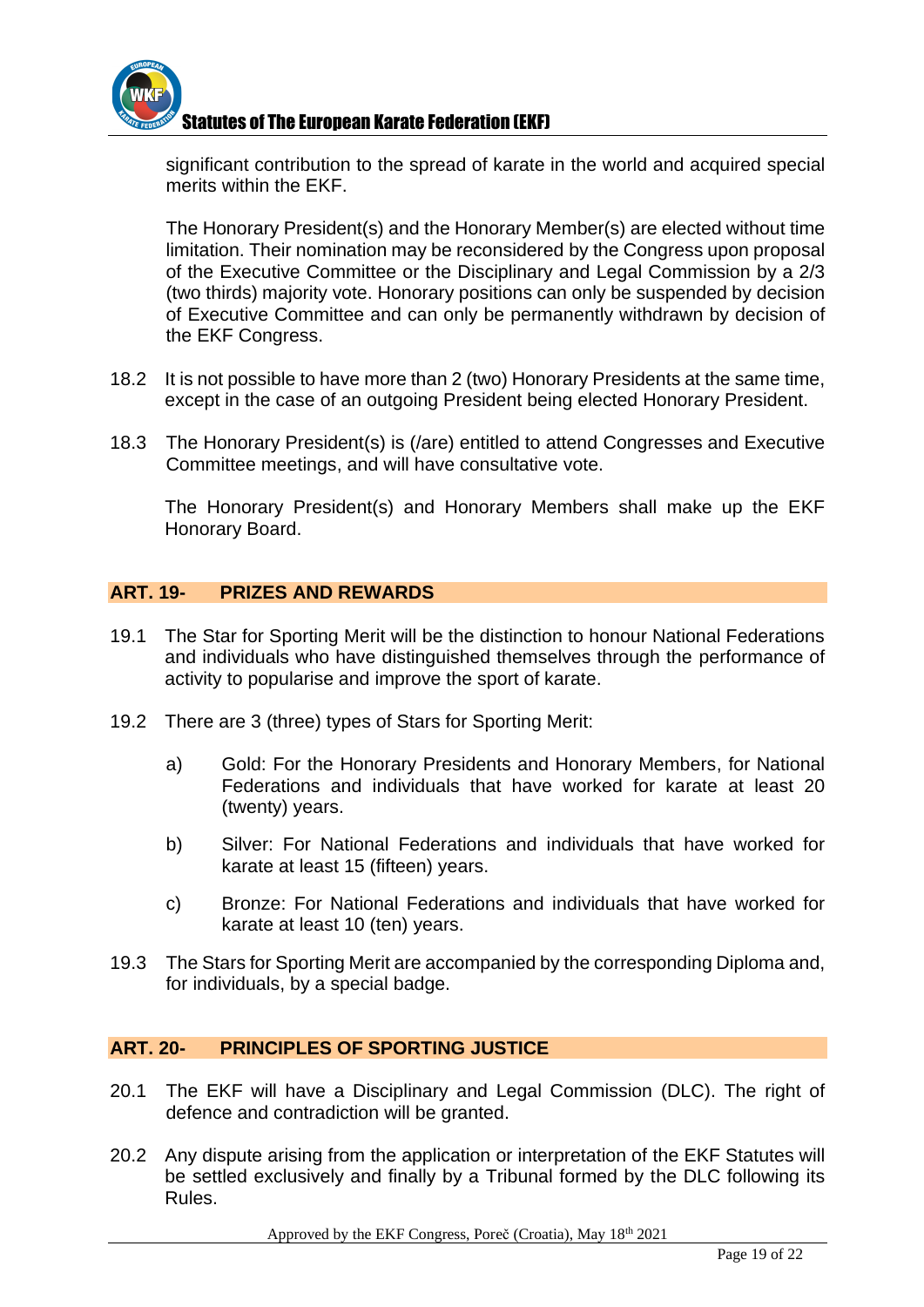

significant contribution to the spread of karate in the world and acquired special merits within the EKF.

The Honorary President(s) and the Honorary Member(s) are elected without time limitation. Their nomination may be reconsidered by the Congress upon proposal of the Executive Committee or the Disciplinary and Legal Commission by a 2/3 (two thirds) majority vote. Honorary positions can only be suspended by decision of Executive Committee and can only be permanently withdrawn by decision of the EKF Congress.

- 18.2 It is not possible to have more than 2 (two) Honorary Presidents at the same time, except in the case of an outgoing President being elected Honorary President.
- 18.3 The Honorary President(s) is (/are) entitled to attend Congresses and Executive Committee meetings, and will have consultative vote.

The Honorary President(s) and Honorary Members shall make up the EKF Honorary Board.

#### **ART. 19- PRIZES AND REWARDS**

- 19.1 The Star for Sporting Merit will be the distinction to honour National Federations and individuals who have distinguished themselves through the performance of activity to popularise and improve the sport of karate.
- 19.2 There are 3 (three) types of Stars for Sporting Merit:
	- a) Gold: For the Honorary Presidents and Honorary Members, for National Federations and individuals that have worked for karate at least 20 (twenty) years.
	- b) Silver: For National Federations and individuals that have worked for karate at least 15 (fifteen) years.
	- c) Bronze: For National Federations and individuals that have worked for karate at least 10 (ten) years.
- 19.3 The Stars for Sporting Merit are accompanied by the corresponding Diploma and, for individuals, by a special badge.

#### **ART. 20- PRINCIPLES OF SPORTING JUSTICE**

- 20.1 The EKF will have a Disciplinary and Legal Commission (DLC). The right of defence and contradiction will be granted.
- 20.2 Any dispute arising from the application or interpretation of the EKF Statutes will be settled exclusively and finally by a Tribunal formed by the DLC following its Rules.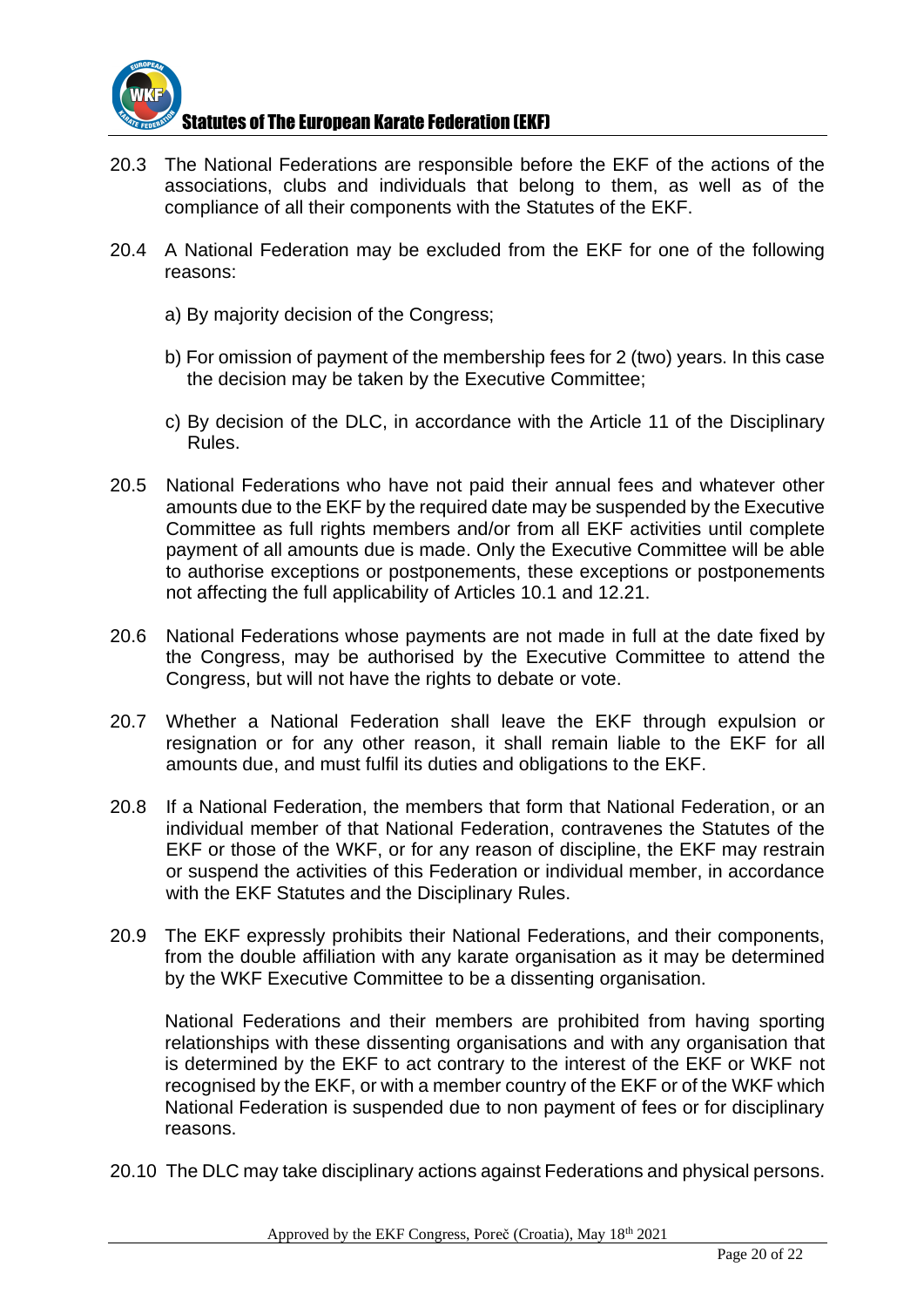

- 20.3 The National Federations are responsible before the EKF of the actions of the associations, clubs and individuals that belong to them, as well as of the compliance of all their components with the Statutes of the EKF.
- 20.4 A National Federation may be excluded from the EKF for one of the following reasons:
	- a) By majority decision of the Congress;
	- b) For omission of payment of the membership fees for 2 (two) years. In this case the decision may be taken by the Executive Committee;
	- c) By decision of the DLC, in accordance with the Article 11 of the Disciplinary Rules.
- 20.5 National Federations who have not paid their annual fees and whatever other amounts due to the EKF by the required date may be suspended by the Executive Committee as full rights members and/or from all EKF activities until complete payment of all amounts due is made. Only the Executive Committee will be able to authorise exceptions or postponements, these exceptions or postponements not affecting the full applicability of Articles 10.1 and 12.21.
- 20.6 National Federations whose payments are not made in full at the date fixed by the Congress, may be authorised by the Executive Committee to attend the Congress, but will not have the rights to debate or vote.
- 20.7 Whether a National Federation shall leave the EKF through expulsion or resignation or for any other reason, it shall remain liable to the EKF for all amounts due, and must fulfil its duties and obligations to the EKF.
- 20.8 If a National Federation, the members that form that National Federation, or an individual member of that National Federation, contravenes the Statutes of the EKF or those of the WKF, or for any reason of discipline, the EKF may restrain or suspend the activities of this Federation or individual member, in accordance with the EKF Statutes and the Disciplinary Rules.
- 20.9 The EKF expressly prohibits their National Federations, and their components, from the double affiliation with any karate organisation as it may be determined by the WKF Executive Committee to be a dissenting organisation.

National Federations and their members are prohibited from having sporting relationships with these dissenting organisations and with any organisation that is determined by the EKF to act contrary to the interest of the EKF or WKF not recognised by the EKF, or with a member country of the EKF or of the WKF which National Federation is suspended due to non payment of fees or for disciplinary reasons.

20.10 The DLC may take disciplinary actions against Federations and physical persons.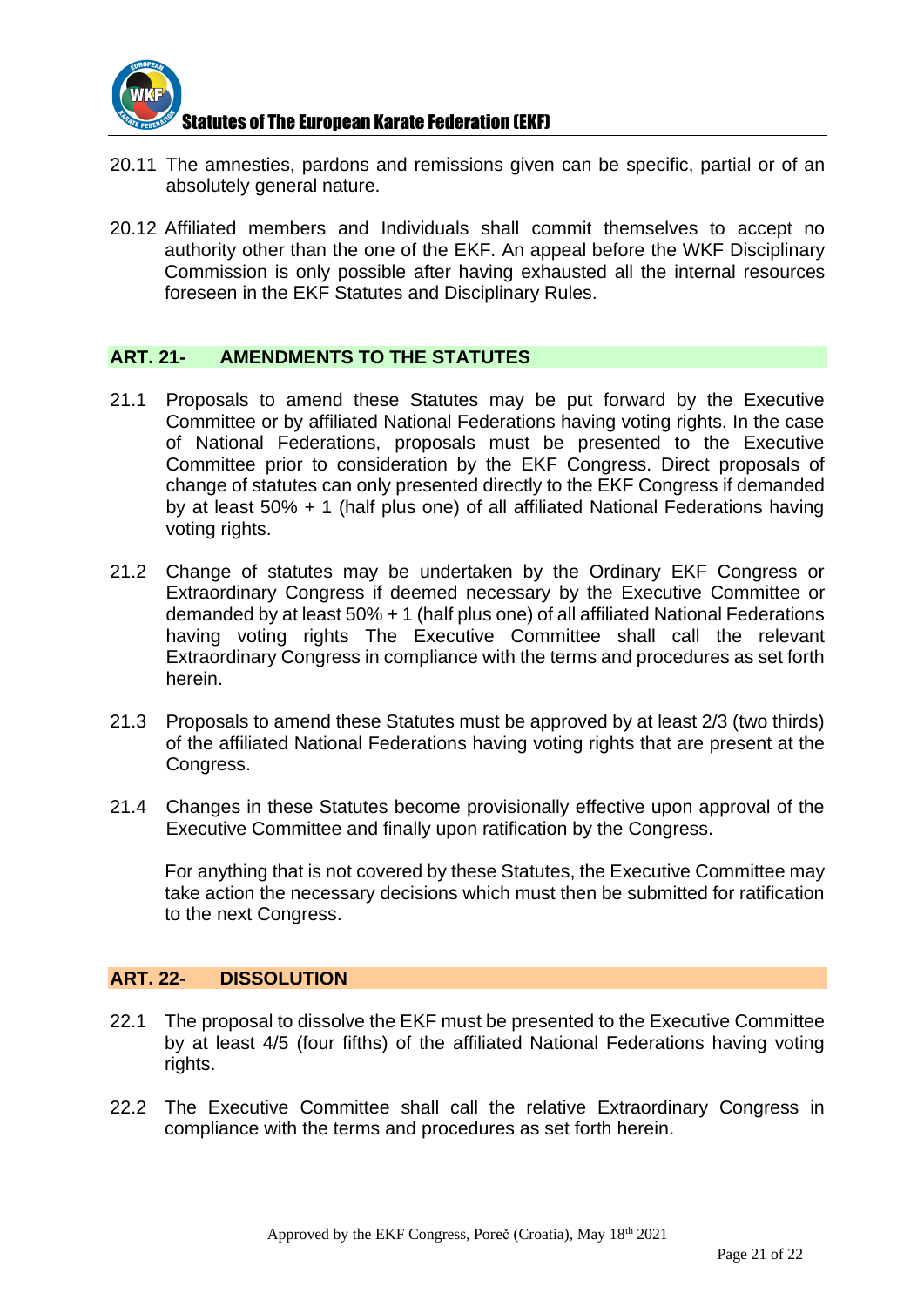

- 20.11 The amnesties, pardons and remissions given can be specific, partial or of an absolutely general nature.
- 20.12 Affiliated members and Individuals shall commit themselves to accept no authority other than the one of the EKF. An appeal before the WKF Disciplinary Commission is only possible after having exhausted all the internal resources foreseen in the EKF Statutes and Disciplinary Rules.

#### **ART. 21- AMENDMENTS TO THE STATUTES**

- 21.1 Proposals to amend these Statutes may be put forward by the Executive Committee or by affiliated National Federations having voting rights. In the case of National Federations, proposals must be presented to the Executive Committee prior to consideration by the EKF Congress. Direct proposals of change of statutes can only presented directly to the EKF Congress if demanded by at least 50% + 1 (half plus one) of all affiliated National Federations having voting rights.
- 21.2 Change of statutes may be undertaken by the Ordinary EKF Congress or Extraordinary Congress if deemed necessary by the Executive Committee or demanded by at least 50% + 1 (half plus one) of all affiliated National Federations having voting rights The Executive Committee shall call the relevant Extraordinary Congress in compliance with the terms and procedures as set forth herein.
- 21.3 Proposals to amend these Statutes must be approved by at least 2/3 (two thirds) of the affiliated National Federations having voting rights that are present at the Congress.
- 21.4 Changes in these Statutes become provisionally effective upon approval of the Executive Committee and finally upon ratification by the Congress.

For anything that is not covered by these Statutes, the Executive Committee may take action the necessary decisions which must then be submitted for ratification to the next Congress.

#### **ART. 22- DISSOLUTION**

- 22.1 The proposal to dissolve the EKF must be presented to the Executive Committee by at least 4/5 (four fifths) of the affiliated National Federations having voting rights.
- 22.2 The Executive Committee shall call the relative Extraordinary Congress in compliance with the terms and procedures as set forth herein.